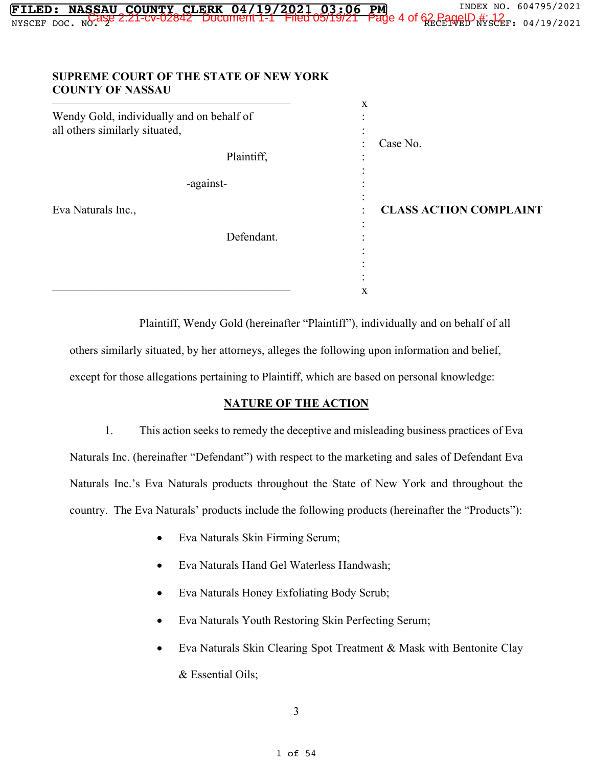| NYSCEF DOC. NO. 432 2:21-CV-02842 DOCument 1-1 Filed 05/19/21 Page 4 of 62 PagelD #: 12 r. 04/19/2021 |
|-------------------------------------------------------------------------------------------------------|
| <b>SUPREME COURT OF THE STATE OF NEW YORK</b>                                                         |
| $\mathbf X$                                                                                           |
| Case No.                                                                                              |
|                                                                                                       |
| <b>CLASS ACTION COMPLAINT</b>                                                                         |
|                                                                                                       |
|                                                                                                       |

**FILED: NASSAU COUNTY CLERK 04/19/2021 03:06 PM** INDEX NO. 604795/2021

Plaintiff, Wendy Gold (hereinafter "Plaintiff"), individually and on behalf of all others similarly situated, by her attorneys, alleges the following upon information and belief, except for those allegations pertaining to Plaintiff, which are based on personal knowledge:

: :

#### **NATURE OF THE ACTION**

1. This action seeks to remedy the deceptive and misleading business practices of Eva Naturals Inc. (hereinafter "Defendant") with respect to the marketing and sales of Defendant Eva Naturals Inc.'s Eva Naturals products throughout the State of New York and throughout the country. The Eva Naturals' products include the following products (hereinafter the "Products"):

• Eva Naturals Skin Firming Serum;

 $\overline{X}$ 

- Eva Naturals Hand Gel Waterless Handwash;
- Eva Naturals Honey Exfoliating Body Scrub;
- Eva Naturals Youth Restoring Skin Perfecting Serum;
- Eva Naturals Skin Clearing Spot Treatment & Mask with Bentonite Clay & Essential Oils;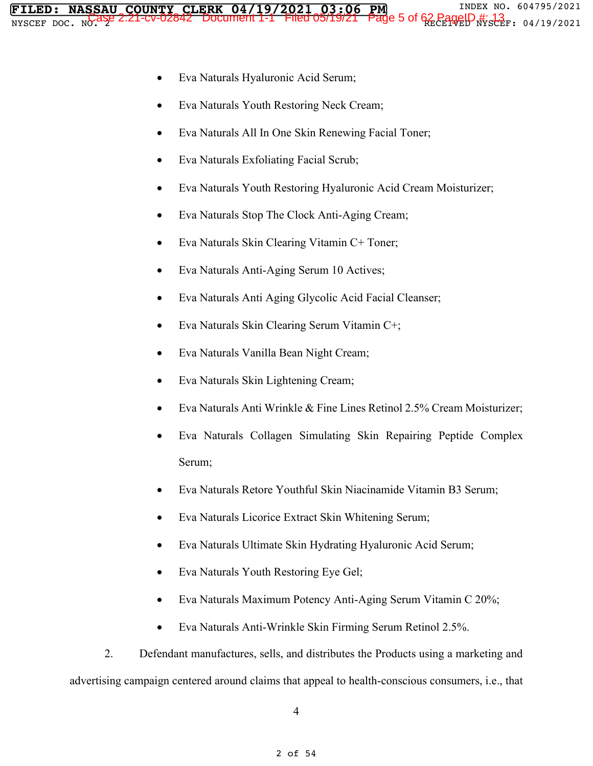- Eva Naturals Youth Restoring Neck Cream;
- Eva Naturals All In One Skin Renewing Facial Toner;
- Eva Naturals Exfoliating Facial Scrub;
- Eva Naturals Youth Restoring Hyaluronic Acid Cream Moisturizer;
- Eva Naturals Stop The Clock Anti-Aging Cream;
- Eva Naturals Skin Clearing Vitamin C+ Toner;
- Eva Naturals Anti-Aging Serum 10 Actives;
- Eva Naturals Anti Aging Glycolic Acid Facial Cleanser;
- Eva Naturals Skin Clearing Serum Vitamin C+;
- Eva Naturals Vanilla Bean Night Cream;
- Eva Naturals Skin Lightening Cream;
- Eva Naturals Anti Wrinkle & Fine Lines Retinol 2.5% Cream Moisturizer;
- Eva Naturals Collagen Simulating Skin Repairing Peptide Complex Serum;
- Eva Naturals Retore Youthful Skin Niacinamide Vitamin B3 Serum;
- Eva Naturals Licorice Extract Skin Whitening Serum;
- Eva Naturals Ultimate Skin Hydrating Hyaluronic Acid Serum;
- Eva Naturals Youth Restoring Eye Gel;
- Eva Naturals Maximum Potency Anti-Aging Serum Vitamin C  $20\%$ ;
- Eva Naturals Anti-Wrinkle Skin Firming Serum Retinol 2.5%.

2. Defendant manufactures, sells, and distributes the Products using a marketing and advertising campaign centered around claims that appeal to health-conscious consumers, i.e., that

4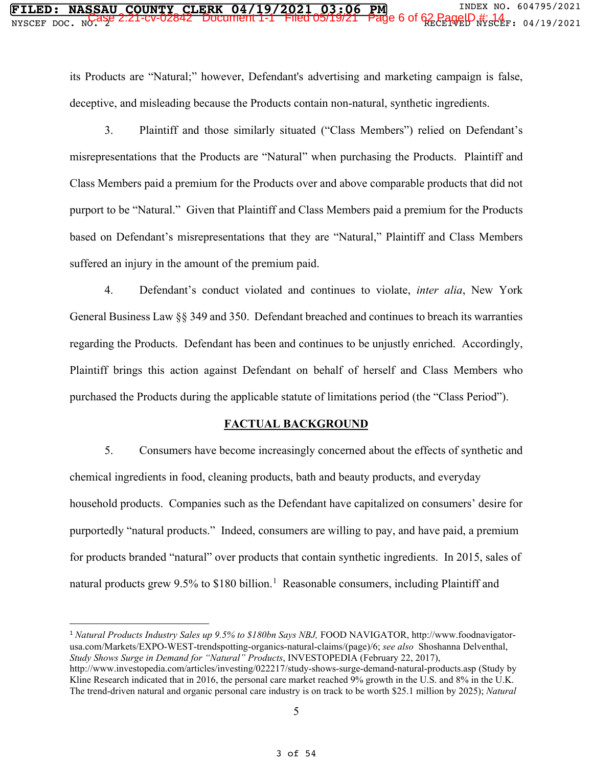its Products are "Natural;" however, Defendant's advertising and marketing campaign is false, deceptive, and misleading because the Products contain non-natural, synthetic ingredients.

3. Plaintiff and those similarly situated ("Class Members") relied on Defendant's misrepresentations that the Products are "Natural" when purchasing the Products. Plaintiff and Class Members paid a premium for the Products over and above comparable products that did not purport to be "Natural." Given that Plaintiff and Class Members paid a premium for the Products based on Defendant's misrepresentations that they are "Natural," Plaintiff and Class Members suffered an injury in the amount of the premium paid.

4. Defendant's conduct violated and continues to violate, *inter alia*, New York General Business Law §§ 349 and 350. Defendant breached and continues to breach its warranties regarding the Products. Defendant has been and continues to be unjustly enriched. Accordingly, Plaintiff brings this action against Defendant on behalf of herself and Class Members who purchased the Products during the applicable statute of limitations period (the "Class Period").

#### **FACTUAL BACKGROUND**

5. Consumers have become increasingly concerned about the effects of synthetic and chemical ingredients in food, cleaning products, bath and beauty products, and everyday household products. Companies such as the Defendant have capitalized on consumers' desire for purportedly "natural products." Indeed, consumers are willing to pay, and have paid, a premium for products branded "natural" over products that contain synthetic ingredients. In 2015, sales of natural products grew 9.5% to \$180 billion.<sup>1</sup> Reasonable consumers, including Plaintiff and

<sup>1</sup> *Natural Products Industry Sales up 9.5% to \$180bn Says NBJ,* FOOD NAVIGATOR, http://www.foodnavigatorusa.com/Markets/EXPO-WEST-trendspotting-organics-natural-claims/(page)/6; *see also* Shoshanna Delventhal, *Study Shows Surge in Demand for "Natural" Products*, INVESTOPEDIA (February 22, 2017), http://www.investopedia.com/articles/investing/022217/study-shows-surge-demand-natural-products.asp (Study by Kline Research indicated that in 2016, the personal care market reached 9% growth in the U.S. and 8% in the U.K. The trend-driven natural and organic personal care industry is on track to be worth \$25.1 million by 2025); *Natural*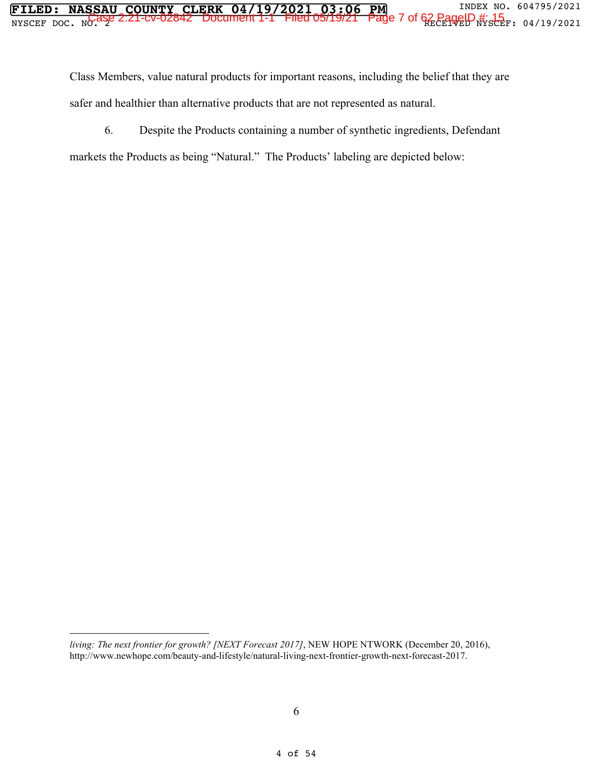Class Members, value natural products for important reasons, including the belief that they are safer and healthier than alternative products that are not represented as natural.

6. Despite the Products containing a number of synthetic ingredients, Defendant

markets the Products as being "Natural." The Products' labeling are depicted below:

*living: The next frontier for growth? [NEXT Forecast 2017]*, NEW HOPE NTWORK (December 20, 2016), http://www.newhope.com/beauty-and-lifestyle/natural-living-next-frontier-growth-next-forecast-2017.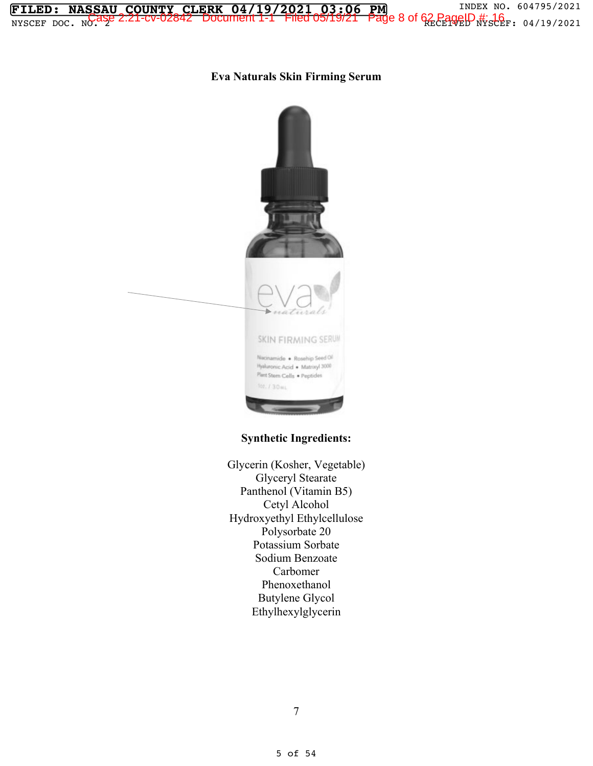### **Eva Naturals Skin Firming Serum**

**FILED: NASSAU COUNTY CLERK 04/19/2021 03:06 PM** INDEX NO. 604795/2021  $\frac{1}{2}$   $\frac{1}{2}$   $\frac{1}{2}$   $\frac{1}{2}$   $\frac{1}{2}$   $\frac{1}{2}$   $\frac{1}{2}$   $\frac{1}{2}$   $\frac{1}{2}$   $\frac{1}{2}$   $\frac{1}{2}$   $\frac{1}{2}$   $\frac{1}{2}$   $\frac{1}{2}$   $\frac{1}{2}$   $\frac{1}{2}$   $\frac{1}{2}$   $\frac{1}{2}$   $\frac{1}{2}$   $\frac{1}{2}$   $\frac{1}{2}$   $\frac{1}{2}$ 



## **Synthetic Ingredients:**

Glycerin (Kosher, Vegetable) Glyceryl Stearate Panthenol (Vitamin B5) Cetyl Alcohol Hydroxyethyl Ethylcellulose Polysorbate 20 Potassium Sorbate Sodium Benzoate Carbomer Phenoxethanol Butylene Glycol Ethylhexylglycerin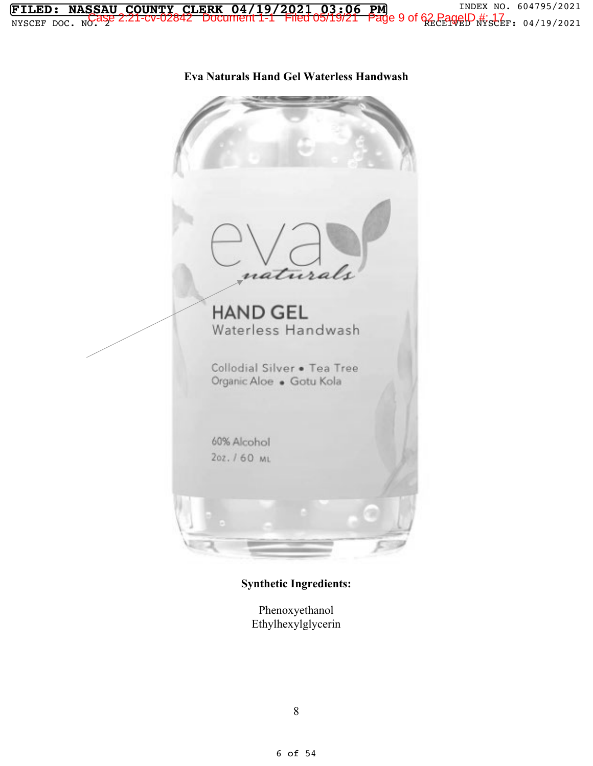

**Synthetic Ingredients:** 

Phenoxyethanol Ethylhexylglycerin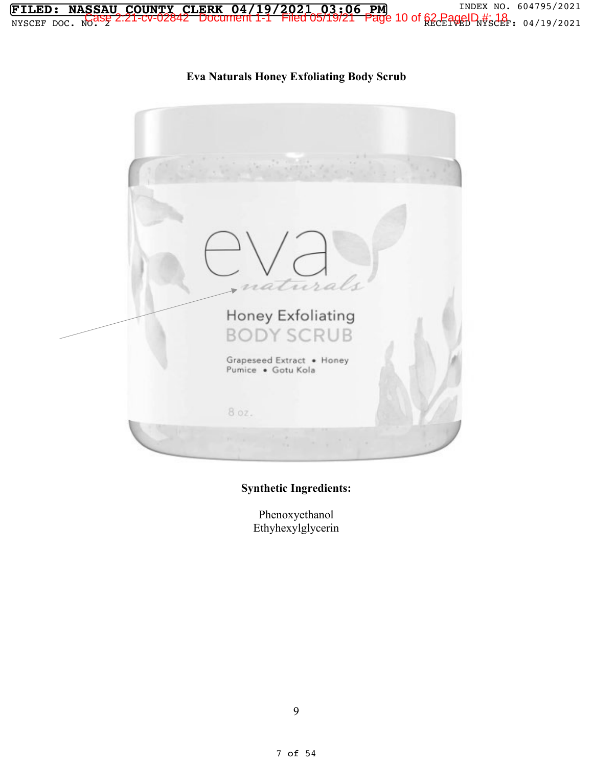

## **Synthetic Ingredients:**

**FILED: NASSAU COUNTY CLERK 04/19/2021 03:06 PM** INDEX NO. 604795/2021  $\frac{1}{2}$   $\frac{1}{2}$   $\frac{1}{2}$   $\frac{1}{2}$   $\frac{1}{2}$   $\frac{1}{2}$   $\frac{1}{2}$   $\frac{1}{2}$   $\frac{1}{2}$   $\frac{1}{2}$   $\frac{1}{2}$   $\frac{1}{2}$   $\frac{1}{2}$   $\frac{1}{2}$   $\frac{1}{2}$   $\frac{1}{2}$   $\frac{1}{2}$   $\frac{1}{2}$   $\frac{1}{2}$   $\frac{1}{2}$   $\frac{1}{2}$   $\frac{1}{2}$ 

> Phenoxyethanol Ethyhexylglycerin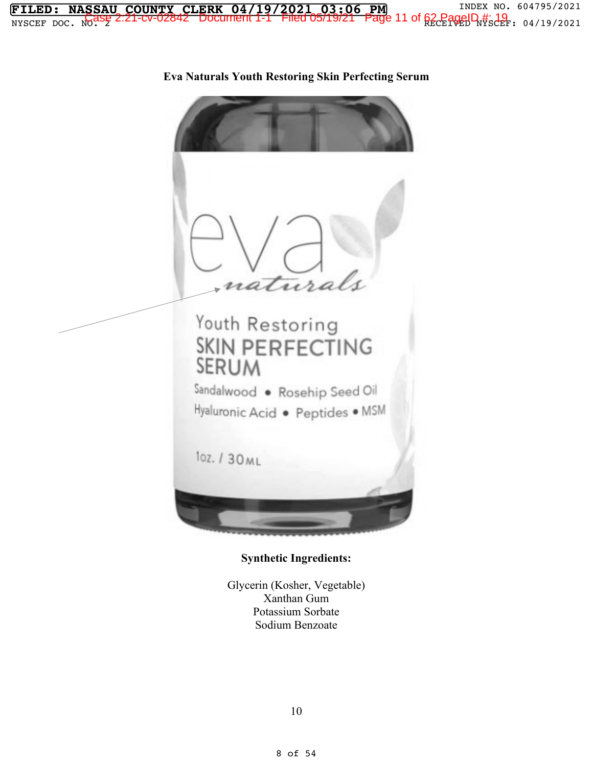

**Eva Naturals Youth Restoring Skin Perfecting Serum** 

### **Synthetic Ingredients:**

Glycerin (Kosher, Vegetable) Xanthan Gum Potassium Sorbate Sodium Benzoate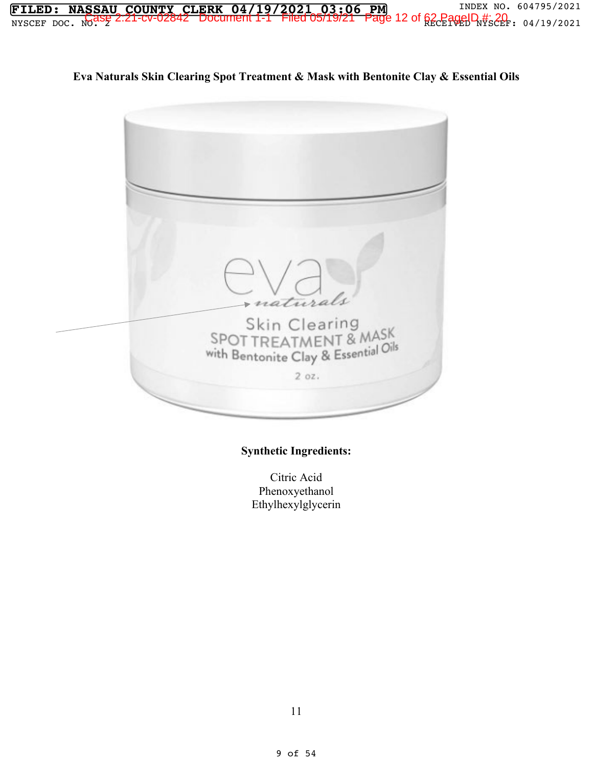**FILED: NASSAU COUNTY CLERK 04/19/2021 03:06 PM** INDEX NO. 604795/2021  $\frac{1}{2}$   $\frac{1}{2}$   $\frac{1}{2}$   $\frac{1}{2}$   $\frac{1}{2}$   $\frac{1}{2}$   $\frac{1}{2}$   $\frac{1}{2}$   $\frac{1}{2}$   $\frac{1}{2}$   $\frac{1}{2}$   $\frac{1}{2}$   $\frac{1}{2}$   $\frac{1}{2}$   $\frac{1}{2}$   $\frac{1}{2}$   $\frac{1}{2}$   $\frac{1}{2}$   $\frac{1}{2}$   $\frac{1}{2}$   $\frac{1}{2}$   $\frac{1}{2}$ 

**Eva Naturals Skin Clearing Spot Treatment & Mask with Bentonite Clay & Essential Oils** 



## **Synthetic Ingredients:**

Citric Acid Phenoxyethanol Ethylhexylglycerin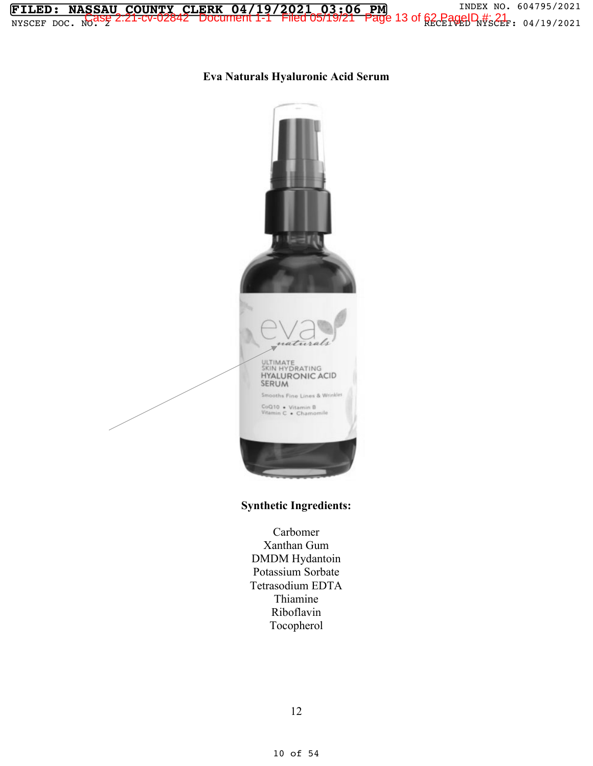**Eva Naturals Hyaluronic Acid Serum** 

**FILED: NASSAU COUNTY CLERK 04/19/2021 03:06 PM** INDEX NO. 604795/2021  $\frac{1}{2}$   $\frac{1}{2}$   $\frac{1}{2}$   $\frac{1}{2}$   $\frac{1}{2}$   $\frac{1}{2}$   $\frac{1}{2}$   $\frac{1}{2}$   $\frac{1}{2}$   $\frac{1}{2}$   $\frac{1}{2}$   $\frac{1}{2}$   $\frac{1}{2}$   $\frac{1}{2}$   $\frac{1}{2}$   $\frac{1}{2}$   $\frac{1}{2}$   $\frac{1}{2}$   $\frac{1}{2}$   $\frac{1}{2}$   $\frac{1}{2}$   $\frac{1}{2}$ 



### **Synthetic Ingredients:**

Carbomer Xanthan Gum DMDM Hydantoin Potassium Sorbate Tetrasodium EDTA Thiamine Riboflavin Tocopherol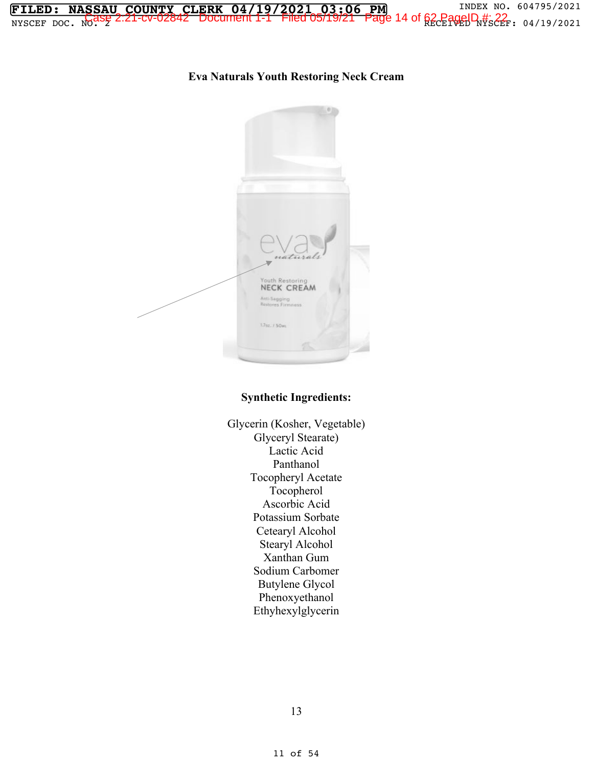**Eva Naturals Youth Restoring Neck Cream** 

**FILED: NASSAU COUNTY CLERK 04/19/2021 03:06 PM** INDEX NO. 604795/2021  $\frac{1}{2}$   $\frac{1}{2}$   $\frac{1}{2}$   $\frac{1}{2}$   $\frac{1}{2}$   $\frac{1}{2}$   $\frac{1}{2}$   $\frac{1}{2}$   $\frac{1}{2}$   $\frac{1}{2}$   $\frac{1}{2}$   $\frac{1}{2}$   $\frac{1}{2}$   $\frac{1}{2}$   $\frac{1}{2}$   $\frac{1}{2}$   $\frac{1}{2}$   $\frac{1}{2}$   $\frac{1}{2}$   $\frac{1}{2}$   $\frac{1}{2}$   $\frac{1}{2}$ 



#### **Synthetic Ingredients:**

Glycerin (Kosher, Vegetable) Glyceryl Stearate) Lactic Acid Panthanol Tocopheryl Acetate Tocopherol Ascorbic Acid Potassium Sorbate Cetearyl Alcohol Stearyl Alcohol Xanthan Gum Sodium Carbomer Butylene Glycol Phenoxyethanol Ethyhexylglycerin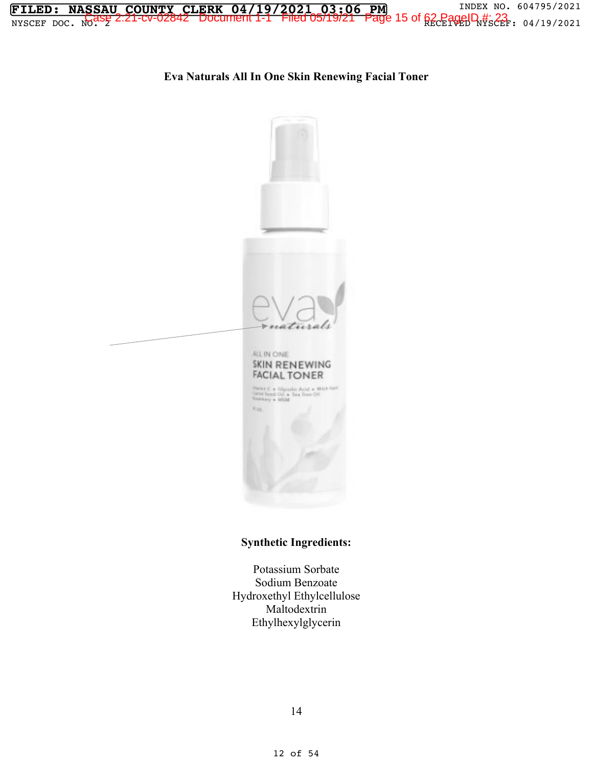

## **Eva Naturals All In One Skin Renewing Facial Toner**



## **Synthetic Ingredients:**

Potassium Sorbate Sodium Benzoate Hydroxethyl Ethylcellulose Maltodextrin Ethylhexylglycerin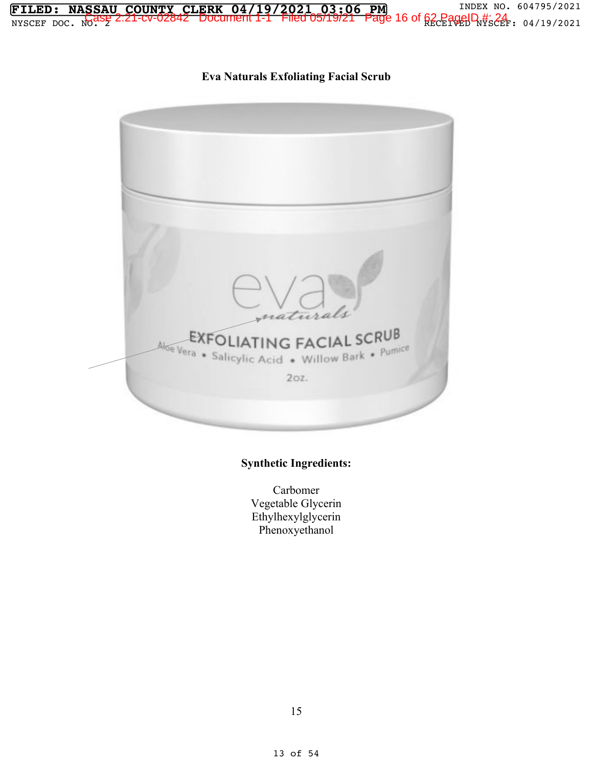

## **Eva Naturals Exfoliating Facial Scrub**



## **Synthetic Ingredients:**

Carbomer Vegetable Glycerin Ethylhexylglycerin Phenoxyethanol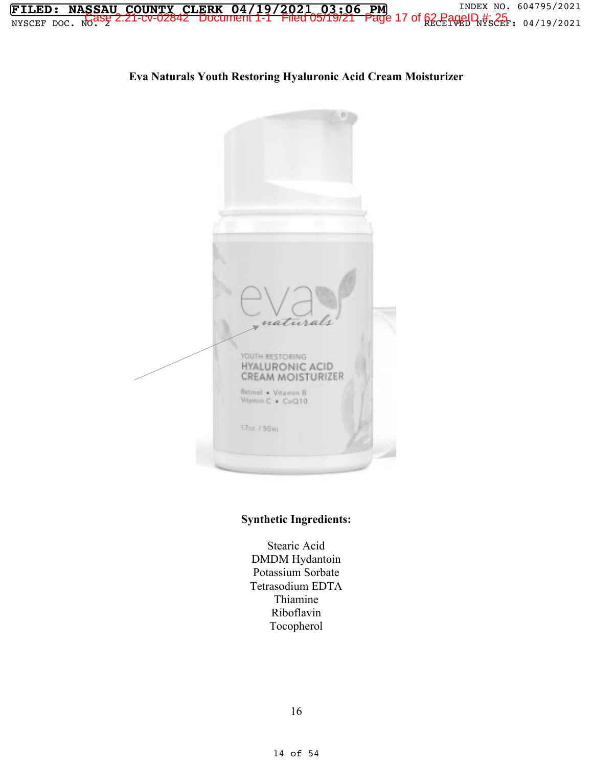

## **Synthetic Ingredients:**

Vitamin C . CoQ10

1.7cz. r 50ml

Stearic Acid DMDM Hydantoin Potassium Sorbate Tetrasodium EDTA Thiamine Riboflavin Tocopherol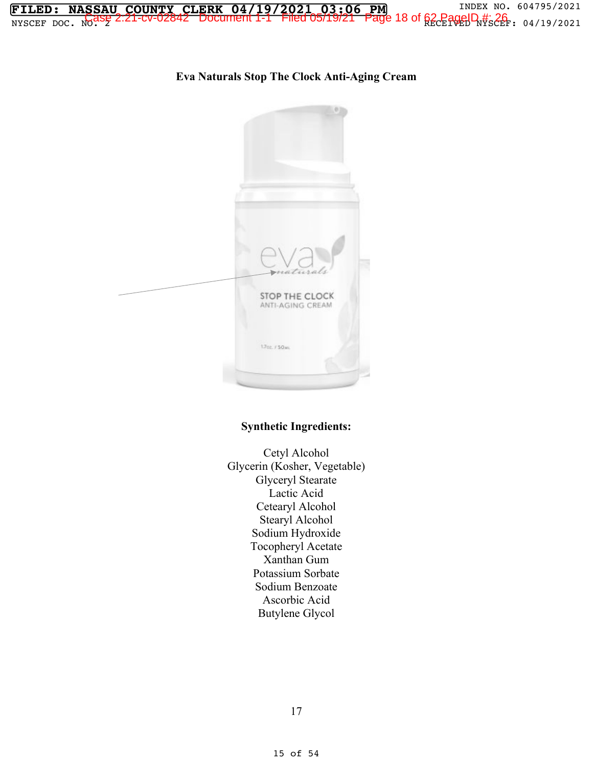**FILED: NASSAU COUNTY CLERK 04/19/2021 03:06 PM** INDEX NO. 604795/2021  $\frac{1}{2}$   $\frac{1}{2}$   $\frac{1}{2}$   $\frac{1}{2}$   $\frac{1}{2}$   $\frac{1}{2}$   $\frac{1}{2}$   $\frac{1}{2}$   $\frac{1}{2}$   $\frac{1}{2}$   $\frac{1}{2}$   $\frac{1}{2}$   $\frac{1}{2}$   $\frac{1}{2}$   $\frac{1}{2}$   $\frac{1}{2}$   $\frac{1}{2}$   $\frac{1}{2}$   $\frac{1}{2}$   $\frac{1}{2}$   $\frac{1}{2}$   $\frac{1}{2}$ 

## **Eva Naturals Stop The Clock Anti-Aging Cream**



### **Synthetic Ingredients:**

Cetyl Alcohol Glycerin (Kosher, Vegetable) Glyceryl Stearate Lactic Acid Cetearyl Alcohol Stearyl Alcohol Sodium Hydroxide Tocopheryl Acetate Xanthan Gum Potassium Sorbate Sodium Benzoate Ascorbic Acid Butylene Glycol

17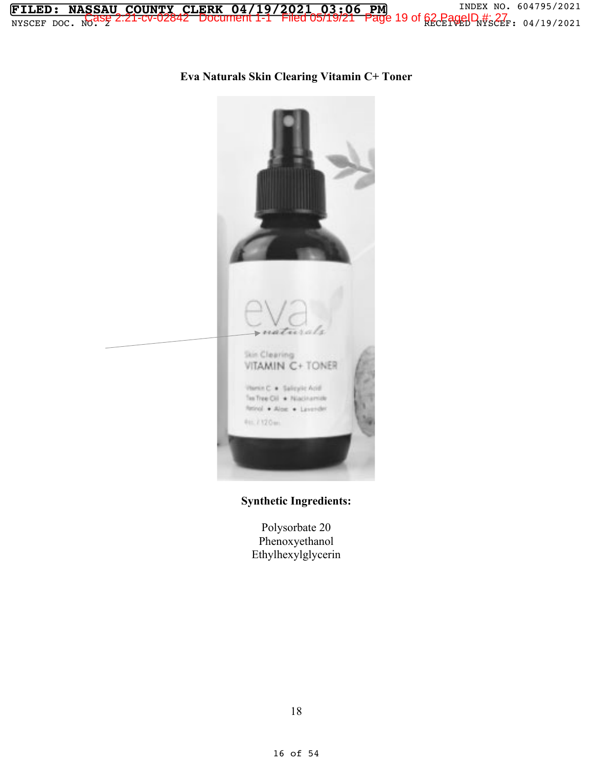**FILED: NASSAU COUNTY CLERK 04/19/2021 03:06 PM** INDEX NO. 604795/2021 NYSCEF DOC. NO. 2 RECEIVED NYSCEF: 04/19/2021 Case 2:21-cv-02842 Document 1-1 Filed 05/19/21 Page 19 of 62 PageID #: 27

> acrats Skin Clearing VITAMIN C+ TONER Vienin C . Salicylic Acid Tex Tree Cil \* Niacinamide firind + Alse . Laverder REC / 120mm

**Eva Naturals Skin Clearing Vitamin C+ Toner** 

### **Synthetic Ingredients:**

Polysorbate 20 Phenoxyethanol Ethylhexylglycerin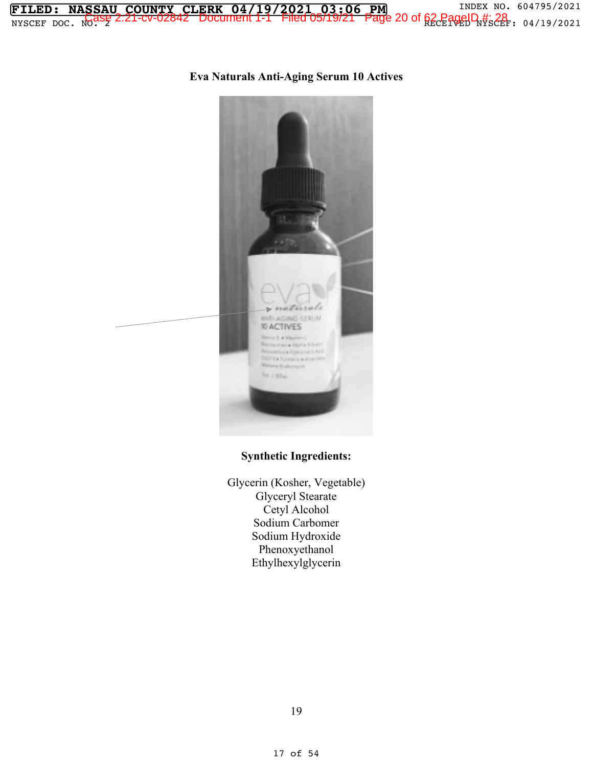## **Eva Naturals Anti-Aging Serum 10 Actives**



## **Synthetic Ingredients:**

Glycerin (Kosher, Vegetable) Glyceryl Stearate Cetyl Alcohol Sodium Carbomer Sodium Hydroxide Phenoxyethanol Ethylhexylglycerin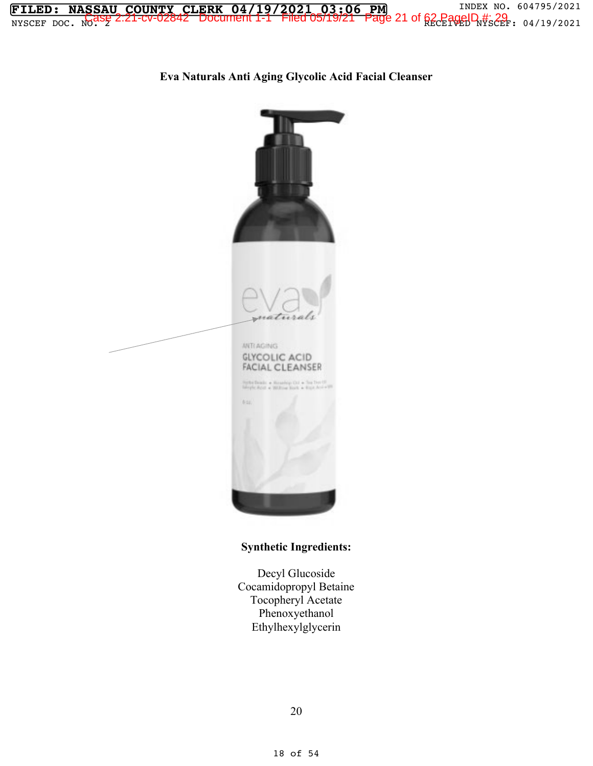

**Eva Naturals Anti Aging Glycolic Acid Facial Cleanser** 



## **Synthetic Ingredients:**

Decyl Glucoside Cocamidopropyl Betaine Tocopheryl Acetate Phenoxyethanol Ethylhexylglycerin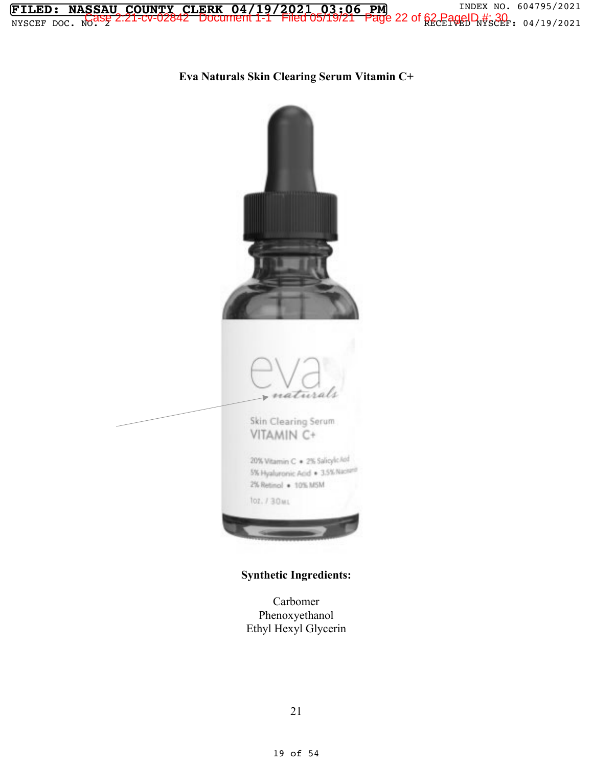**FILED: NASSAU COUNTY CLERK 04/19/2021 03:06 PM** INDEX NO. 604795/2021  $\frac{1}{2}$   $\frac{1}{2}$   $\frac{1}{2}$   $\frac{1}{2}$   $\frac{1}{2}$   $\frac{1}{2}$   $\frac{1}{2}$   $\frac{1}{2}$   $\frac{1}{2}$   $\frac{1}{2}$   $\frac{1}{2}$   $\frac{1}{2}$   $\frac{1}{2}$   $\frac{1}{2}$   $\frac{1}{2}$   $\frac{1}{2}$   $\frac{1}{2}$   $\frac{1}{2}$   $\frac{1}{2}$   $\frac{1}{2}$   $\frac{1}{2}$   $\frac{1}{2}$ 

**Eva Naturals Skin Clearing Serum Vitamin C+** 



**Synthetic Ingredients:** 

Carbomer Phenoxyethanol Ethyl Hexyl Glycerin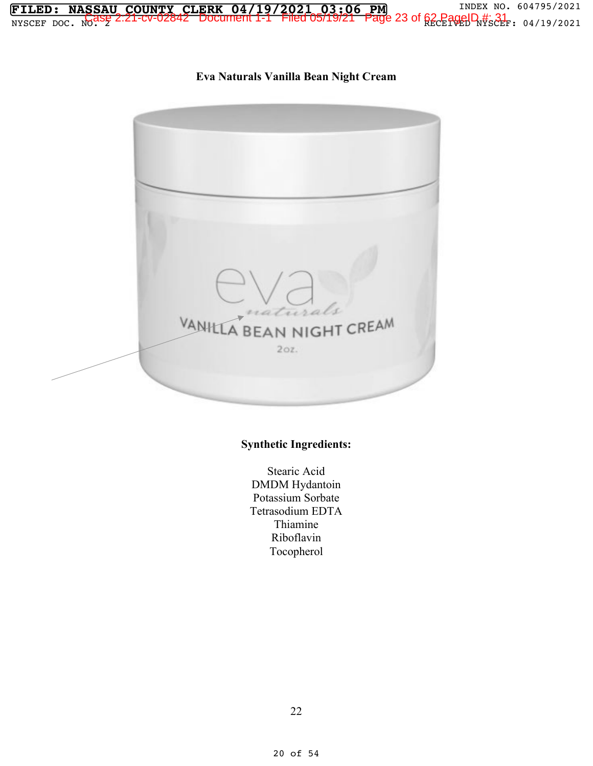

**BEA** 

VANIL

# **Synthetic Ingredients:**

 $20z$ 

CREAM

Stearic Acid DMDM Hydantoin Potassium Sorbate Tetrasodium EDTA Thiamine Riboflavin Tocopherol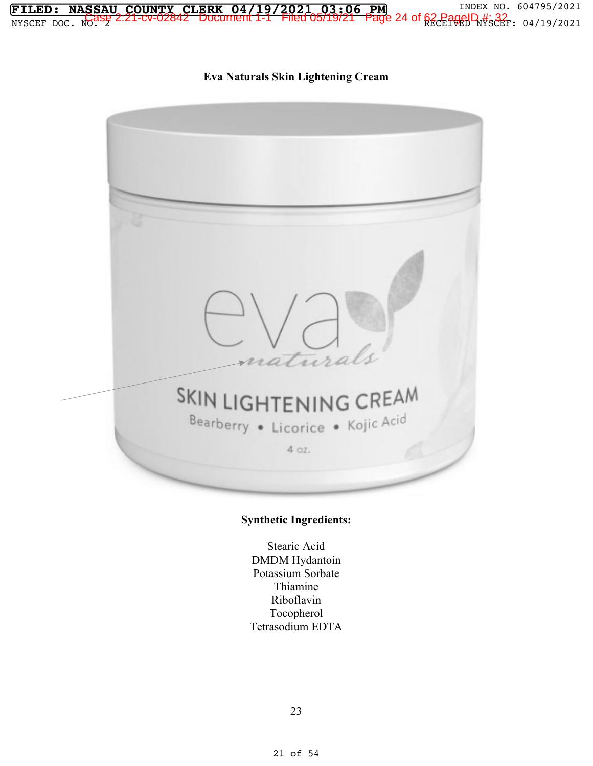

## **Synthetic Ingredients:**

SKIN LIGHTENING CREAM

Bearberry • Licorice • Kojic Acid

4 oz.

Stearic Acid DMDM Hydantoin Potassium Sorbate Thiamine Riboflavin Tocopherol Tetrasodium EDTA

23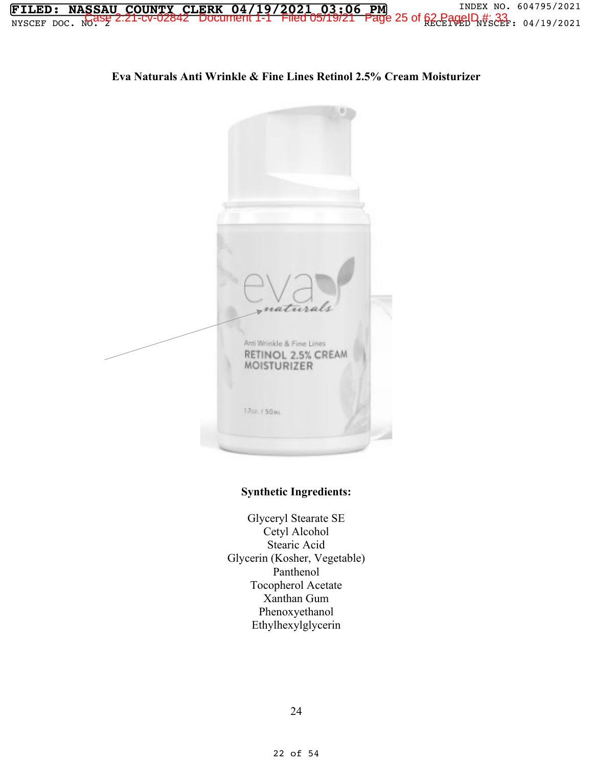

**Eva Naturals Anti Wrinkle & Fine Lines Retinol 2.5% Cream Moisturizer** 

**FILED: NASSAU COUNTY CLERK 04/19/2021 03:06 PM** INDEX NO. 604795/2021  $\frac{1}{2}$   $\frac{1}{2}$   $\frac{1}{2}$   $\frac{1}{2}$   $\frac{1}{2}$   $\frac{1}{2}$   $\frac{1}{2}$   $\frac{1}{2}$   $\frac{1}{2}$   $\frac{1}{2}$   $\frac{1}{2}$   $\frac{1}{2}$   $\frac{1}{2}$   $\frac{1}{2}$   $\frac{1}{2}$   $\frac{1}{2}$   $\frac{1}{2}$   $\frac{1}{2}$   $\frac{1}{2}$   $\frac{1}{2}$   $\frac{1}{2}$   $\frac{1}{2}$ 

## **Synthetic Ingredients:**

Glyceryl Stearate SE Cetyl Alcohol Stearic Acid Glycerin (Kosher, Vegetable) Panthenol Tocopherol Acetate Xanthan Gum Phenoxyethanol Ethylhexylglycerin

24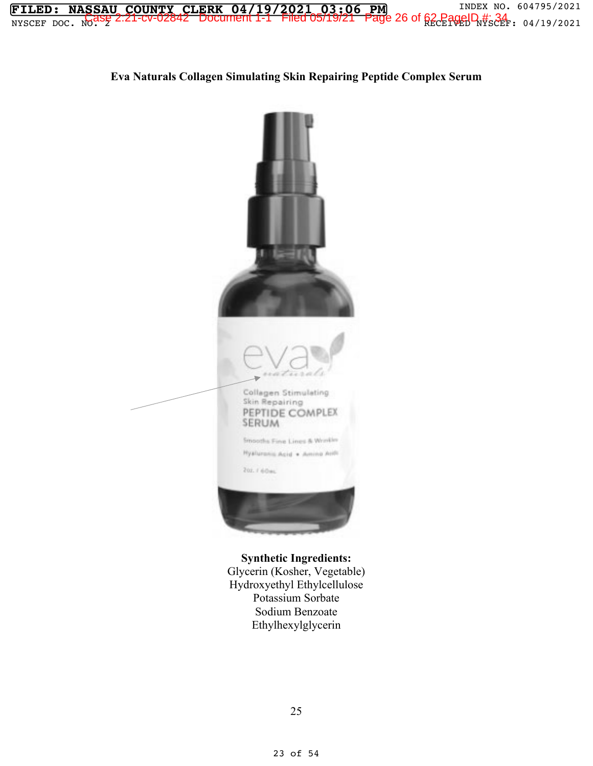

## **Eva Naturals Collagen Simulating Skin Repairing Peptide Complex Serum**



**Synthetic Ingredients:**  Glycerin (Kosher, Vegetable) Hydroxyethyl Ethylcellulose Potassium Sorbate Sodium Benzoate Ethylhexylglycerin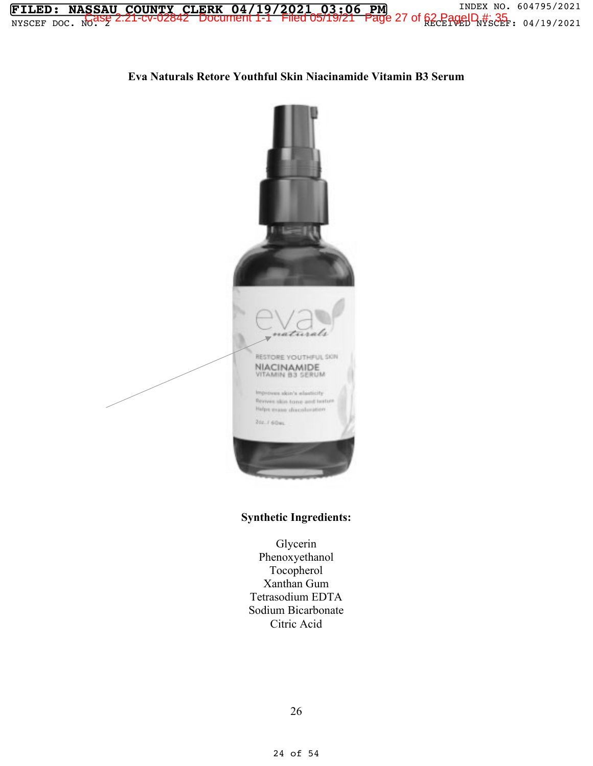

## **Eva Naturals Retore Youthful Skin Niacinamide Vitamin B3 Serum**



### **Synthetic Ingredients:**

Glycerin Phenoxyethanol Tocopherol Xanthan Gum Tetrasodium EDTA Sodium Bicarbonate Citric Acid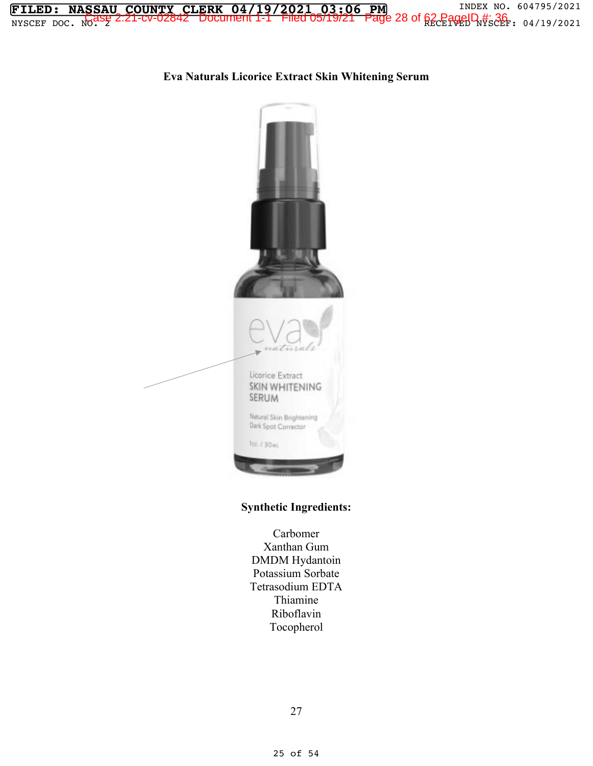

# **Eva Naturals Licorice Extract Skin Whitening Serum**



### **Synthetic Ingredients:**

Carbomer Xanthan Gum DMDM Hydantoin Potassium Sorbate Tetrasodium EDTA Thiamine Riboflavin Tocopherol

27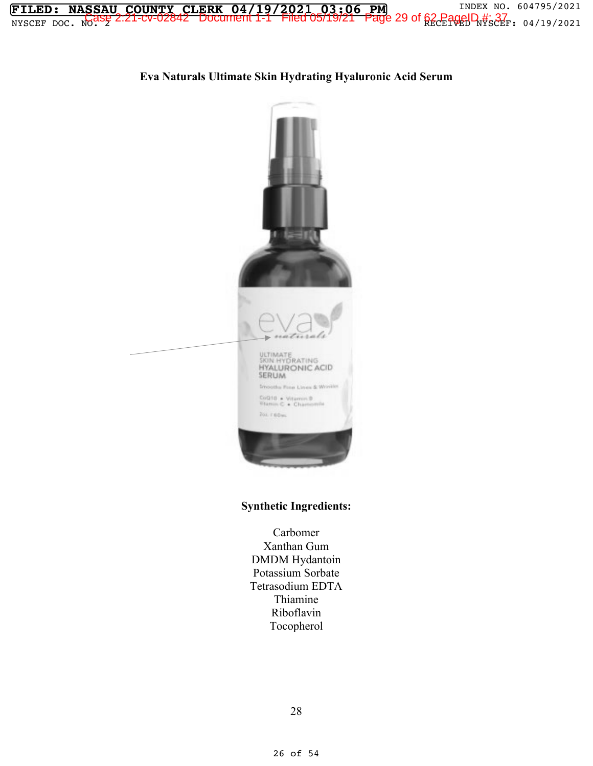



## **Eva Naturals Ultimate Skin Hydrating Hyaluronic Acid Serum**

### **Synthetic Ingredients:**

Carbomer Xanthan Gum DMDM Hydantoin Potassium Sorbate Tetrasodium EDTA Thiamine Riboflavin Tocopherol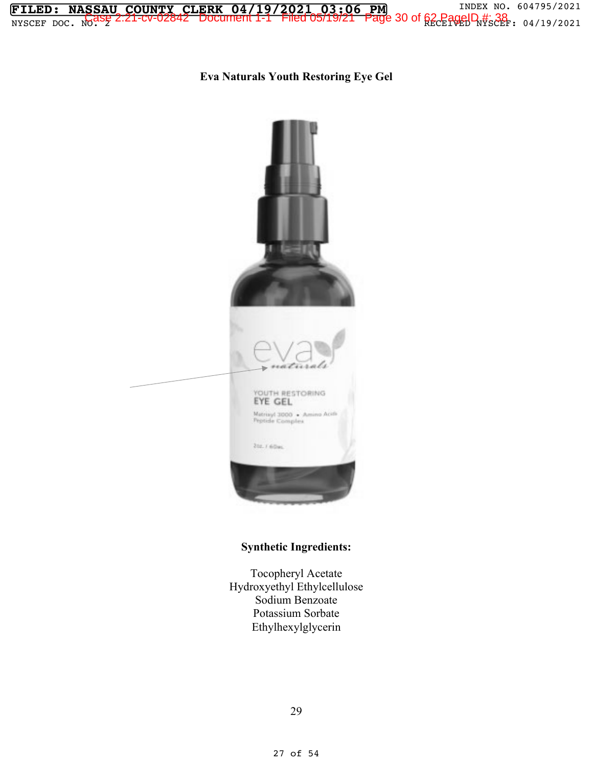

**Eva Naturals Youth Restoring Eye Gel** 



#### **Synthetic Ingredients:**

Tocopheryl Acetate Hydroxyethyl Ethylcellulose Sodium Benzoate Potassium Sorbate Ethylhexylglycerin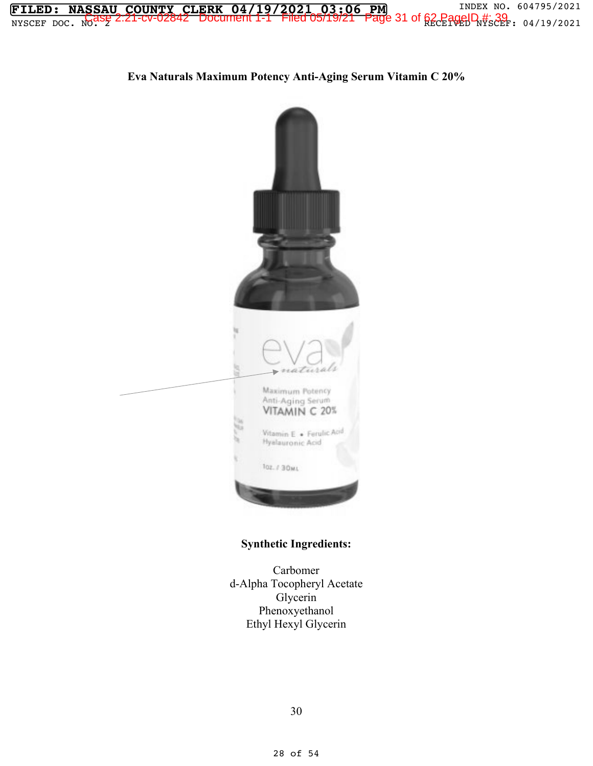

**Eva Naturals Maximum Potency Anti-Aging Serum Vitamin C 20%** 



## **Synthetic Ingredients:**

Carbomer d-Alpha Tocopheryl Acetate Glycerin Phenoxyethanol Ethyl Hexyl Glycerin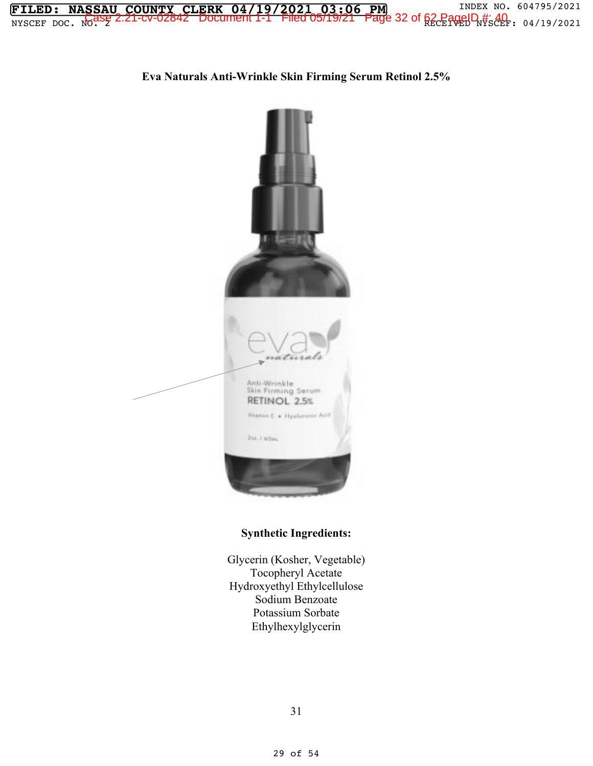

**Eva Naturals Anti-Wrinkle Skin Firming Serum Retinol 2.5%** 



### **Synthetic Ingredients:**

Glycerin (Kosher, Vegetable) Tocopheryl Acetate Hydroxyethyl Ethylcellulose Sodium Benzoate Potassium Sorbate Ethylhexylglycerin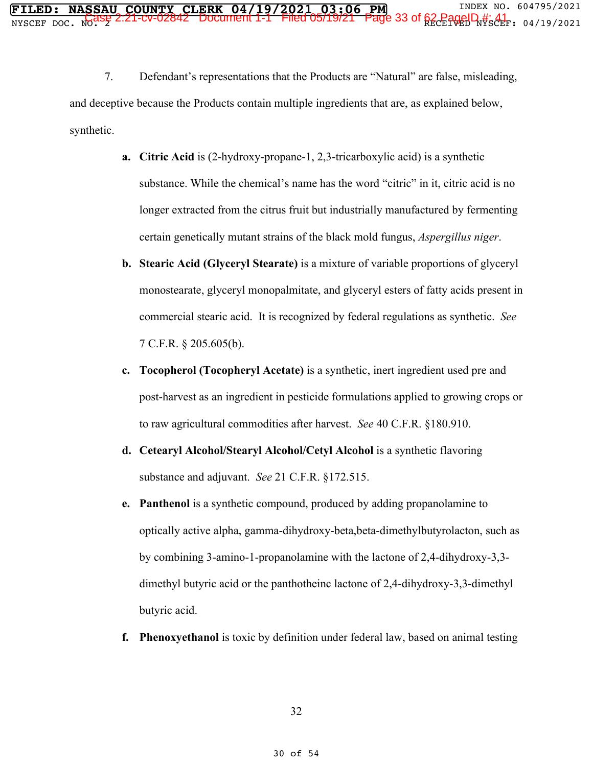7. Defendant's representations that the Products are "Natural" are false, misleading, and deceptive because the Products contain multiple ingredients that are, as explained below, synthetic.

- **a. Citric Acid** is (2-hydroxy-propane-1, 2,3-tricarboxylic acid) is a synthetic substance. While the chemical's name has the word "citric" in it, citric acid is no longer extracted from the citrus fruit but industrially manufactured by fermenting certain genetically mutant strains of the black mold fungus, *Aspergillus niger*.
- **b. Stearic Acid (Glyceryl Stearate)** is a mixture of variable proportions of glyceryl monostearate, glyceryl monopalmitate, and glyceryl esters of fatty acids present in commercial stearic acid. It is recognized by federal regulations as synthetic. *See* 7 C.F.R. § 205.605(b).
- **c. Tocopherol (Tocopheryl Acetate)** is a synthetic, inert ingredient used pre and post-harvest as an ingredient in pesticide formulations applied to growing crops or to raw agricultural commodities after harvest. *See* 40 C.F.R. §180.910.
- **d. Cetearyl Alcohol/Stearyl Alcohol/Cetyl Alcohol** is a synthetic flavoring substance and adjuvant. *See* 21 C.F.R. §172.515.
- **e. Panthenol** is a synthetic compound, produced by adding propanolamine to optically active alpha, gamma-dihydroxy-beta,beta-dimethylbutyrolacton, such as by combining 3-amino-1-propanolamine with the lactone of 2,4-dihydroxy-3,3 dimethyl butyric acid or the panthotheinc lactone of 2,4-dihydroxy-3,3-dimethyl butyric acid.
- **f. Phenoxyethanol** is toxic by definition under federal law, based on animal testing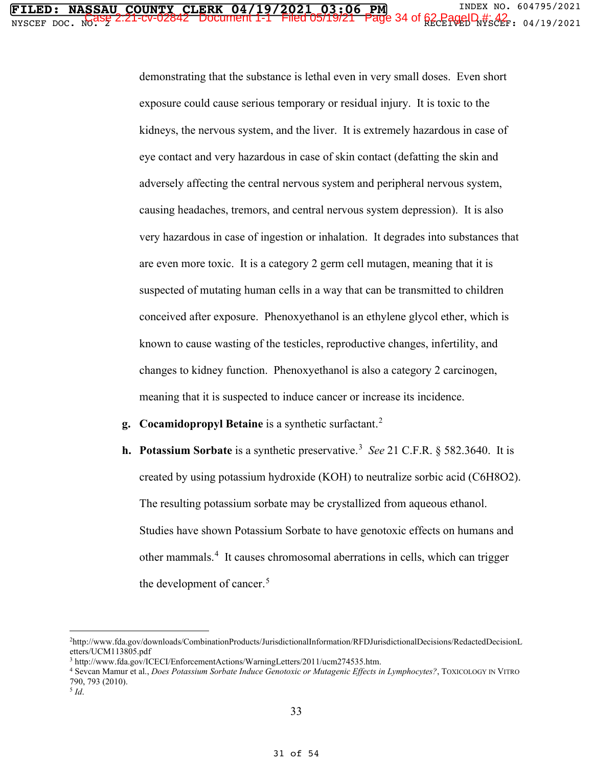demonstrating that the substance is lethal even in very small doses. Even short exposure could cause serious temporary or residual injury. It is toxic to the kidneys, the nervous system, and the liver. It is extremely hazardous in case of eye contact and very hazardous in case of skin contact (defatting the skin and adversely affecting the central nervous system and peripheral nervous system, causing headaches, tremors, and central nervous system depression). It is also very hazardous in case of ingestion or inhalation. It degrades into substances that are even more toxic. It is a category 2 germ cell mutagen, meaning that it is suspected of mutating human cells in a way that can be transmitted to children conceived after exposure. Phenoxyethanol is an ethylene glycol ether, which is known to cause wasting of the testicles, reproductive changes, infertility, and changes to kidney function. Phenoxyethanol is also a category 2 carcinogen, meaning that it is suspected to induce cancer or increase its incidence.

- **g. Cocamidopropyl Betaine** is a synthetic surfactant.<sup>2</sup>
- **h.** Potassium Sorbate is a synthetic preservative.<sup>3</sup> See 21 C.F.R. § 582.3640. It is created by using potassium hydroxide (KOH) to neutralize sorbic acid (C6H8O2). The resulting potassium sorbate may be crystallized from aqueous ethanol. Studies have shown Potassium Sorbate to have genotoxic effects on humans and other mammals.<sup>4</sup> It causes chromosomal aberrations in cells, which can trigger the development of cancer.<sup>5</sup>

<sup>2</sup>http://www.fda.gov/downloads/CombinationProducts/JurisdictionalInformation/RFDJurisdictionalDecisions/RedactedDecisionL etters/UCM113805.pdf

<sup>3</sup> http://www.fda.gov/ICECI/EnforcementActions/WarningLetters/2011/ucm274535.htm. 4 Sevcan Mamur et al., *Does Potassium Sorbate Induce Genotoxic or Mutagenic Effects in Lymphocytes?*, TOXICOLOGY IN VITRO 790, 793 (2010).

<sup>5</sup> *Id*.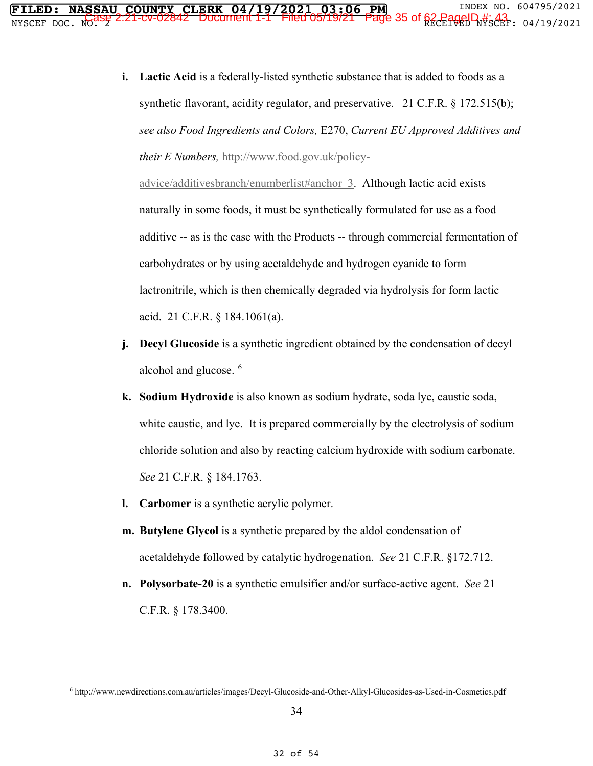**i. Lactic Acid** is a federally-listed synthetic substance that is added to foods as a synthetic flavorant, acidity regulator, and preservative. 21 C.F.R. § 172.515(b); *see also Food Ingredients and Colors,* E270, *Current EU Approved Additives and their E Numbers,* http://www.food.gov.uk/policy-

advice/additivesbranch/enumberlist#anchor\_3. Although lactic acid exists naturally in some foods, it must be synthetically formulated for use as a food additive -- as is the case with the Products -- through commercial fermentation of carbohydrates or by using acetaldehyde and hydrogen cyanide to form lactronitrile, which is then chemically degraded via hydrolysis for form lactic acid. 21 C.F.R. § 184.1061(a).

- **j. Decyl Glucoside** is a synthetic ingredient obtained by the condensation of decyl alcohol and glucose.  $6$
- **k. Sodium Hydroxide** is also known as sodium hydrate, soda lye, caustic soda, white caustic, and lye. It is prepared commercially by the electrolysis of sodium chloride solution and also by reacting calcium hydroxide with sodium carbonate. *See* 21 C.F.R. § 184.1763.
- **l. Carbomer** is a synthetic acrylic polymer.
- **m. Butylene Glycol** is a synthetic prepared by the aldol condensation of acetaldehyde followed by catalytic hydrogenation. *See* 21 C.F.R. §172.712.
- **n. Polysorbate-20** is a synthetic emulsifier and/or surface-active agent. *See* 21 C.F.R. § 178.3400.

<sup>6</sup> http://www.newdirections.com.au/articles/images/Decyl-Glucoside-and-Other-Alkyl-Glucosides-as-Used-in-Cosmetics.pdf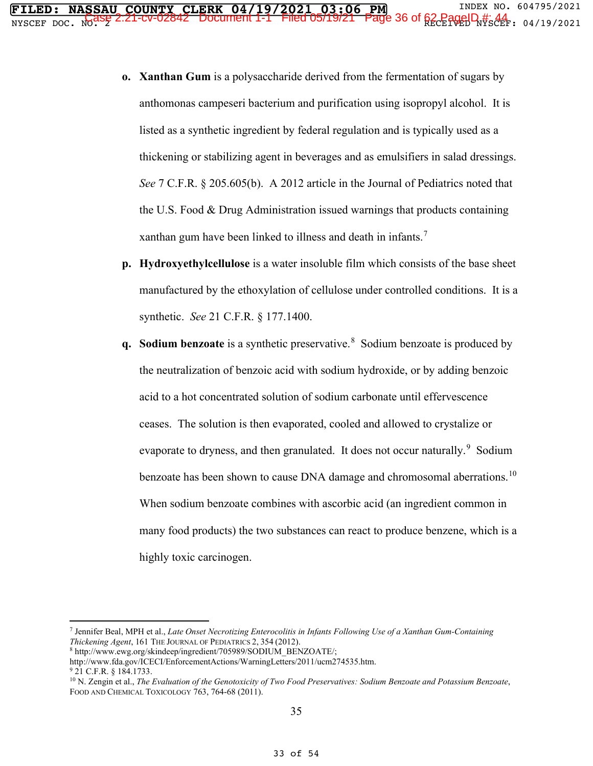- **o. Xanthan Gum** is a polysaccharide derived from the fermentation of sugars by anthomonas campeseri bacterium and purification using isopropyl alcohol. It is listed as a synthetic ingredient by federal regulation and is typically used as a thickening or stabilizing agent in beverages and as emulsifiers in salad dressings. *See* 7 C.F.R. § 205.605(b). A 2012 article in the Journal of Pediatrics noted that the U.S. Food & Drug Administration issued warnings that products containing xanthan gum have been linked to illness and death in infants.<sup>7</sup>
- **p. Hydroxyethylcellulose** is a water insoluble film which consists of the base sheet manufactured by the ethoxylation of cellulose under controlled conditions. It is a synthetic. *See* 21 C.F.R. § 177.1400.
- **q. Sodium benzoate** is a synthetic preservative.<sup>8</sup> Sodium benzoate is produced by the neutralization of benzoic acid with sodium hydroxide, or by adding benzoic acid to a hot concentrated solution of sodium carbonate until effervescence ceases. The solution is then evaporated, cooled and allowed to crystalize or evaporate to dryness, and then granulated. It does not occur naturally.<sup>9</sup> Sodium benzoate has been shown to cause DNA damage and chromosomal aberrations.<sup>10</sup> When sodium benzoate combines with ascorbic acid (an ingredient common in many food products) the two substances can react to produce benzene, which is a highly toxic carcinogen.

<sup>7</sup> Jennifer Beal, MPH et al., *Late Onset Necrotizing Enterocolitis in Infants Following Use of a Xanthan Gum-Containing Thickening Agent*, 161 THE JOURNAL OF PEDIATRICS 2, 354 (2012).<br><sup>8</sup> http://www.ewg.org/skindeep/ingredient/705989/SODIUM\_BENZOATE/;

http://www.fda.gov/ICECI/EnforcementActions/WarningLetters/2011/ucm274535.htm. 9 21 C.F.R. § 184.1733.

<sup>10</sup> N. Zengin et al., *The Evaluation of the Genotoxicity of Two Food Preservatives: Sodium Benzoate and Potassium Benzoate*, FOOD AND CHEMICAL TOXICOLOGY 763, 764-68 (2011).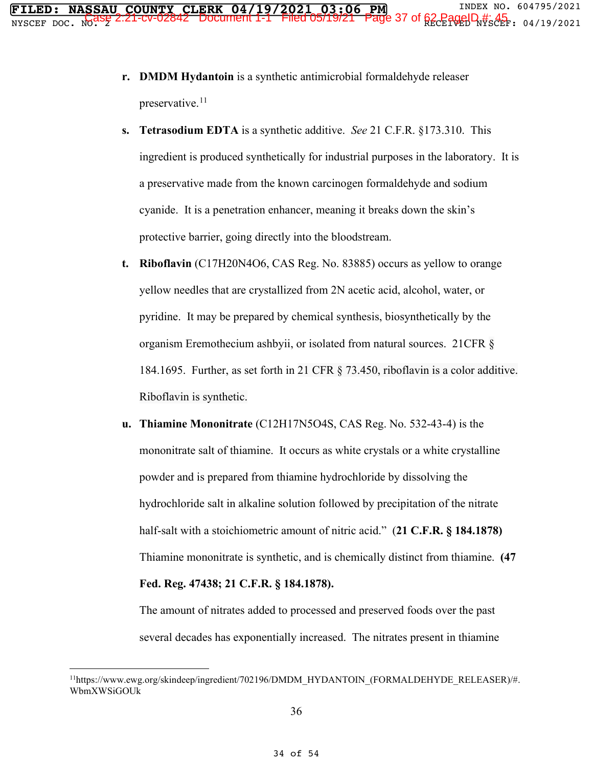- **r. DMDM Hydantoin** is a synthetic antimicrobial formaldehyde releaser preservative.<sup>11</sup>
- **s. Tetrasodium EDTA** is a synthetic additive. *See* 21 C.F.R. §173.310. This ingredient is produced synthetically for industrial purposes in the laboratory. It is a preservative made from the known carcinogen formaldehyde and sodium cyanide. It is a penetration enhancer, meaning it breaks down the skin's protective barrier, going directly into the bloodstream.
- **t. Riboflavin** (C17H20N4O6, CAS Reg. No. 83885) occurs as yellow to orange yellow needles that are crystallized from 2N acetic acid, alcohol, water, or pyridine. It may be prepared by chemical synthesis, biosynthetically by the organism Eremothecium ashbyii, or isolated from natural sources. 21CFR § 184.1695. Further, as set forth in 21 CFR § 73.450, riboflavin is a color additive. Riboflavin is synthetic.
- **u. Thiamine Mononitrate** (C12H17N5O4S, CAS Reg. No. 532-43-4) is the mononitrate salt of thiamine. It occurs as white crystals or a white crystalline powder and is prepared from thiamine hydrochloride by dissolving the hydrochloride salt in alkaline solution followed by precipitation of the nitrate half-salt with a stoichiometric amount of nitric acid." (**21 C.F.R. § 184.1878)** Thiamine mononitrate is synthetic, and is chemically distinct from thiamine. **(47 Fed. Reg. 47438; 21 C.F.R. § 184.1878).**

The amount of nitrates added to processed and preserved foods over the past several decades has exponentially increased. The nitrates present in thiamine

<sup>11</sup>https://www.ewg.org/skindeep/ingredient/702196/DMDM\_HYDANTOIN\_(FORMALDEHYDE\_RELEASER)/#. WbmXWSiGOUk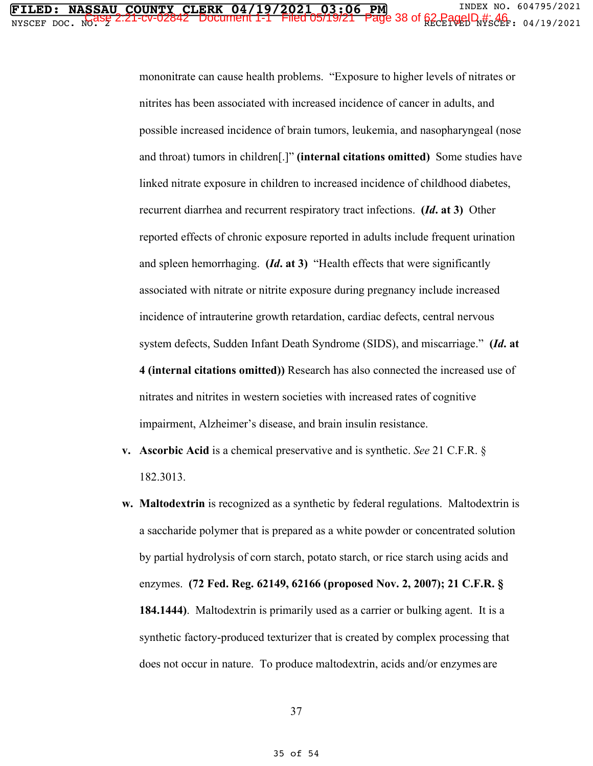mononitrate can cause health problems. "Exposure to higher levels of nitrates or nitrites has been associated with increased incidence of cancer in adults, and possible increased incidence of brain tumors, leukemia, and nasopharyngeal (nose and throat) tumors in children[.]" **(internal citations omitted)** Some studies have linked nitrate exposure in children to increased incidence of childhood diabetes, recurrent diarrhea and recurrent respiratory tract infections. **(***Id***. at 3)** Other reported effects of chronic exposure reported in adults include frequent urination and spleen hemorrhaging. **(***Id***. at 3)** "Health effects that were significantly associated with nitrate or nitrite exposure during pregnancy include increased incidence of intrauterine growth retardation, cardiac defects, central nervous system defects, Sudden Infant Death Syndrome (SIDS), and miscarriage." **(***Id***. at 4 (internal citations omitted))** Research has also connected the increased use of nitrates and nitrites in western societies with increased rates of cognitive impairment, Alzheimer's disease, and brain insulin resistance.

- **v. Ascorbic Acid** is a chemical preservative and is synthetic. *See* 21 C.F.R. § 182.3013.
- **w. Maltodextrin** is recognized as a synthetic by federal regulations. Maltodextrin is a saccharide polymer that is prepared as a white powder or concentrated solution by partial hydrolysis of corn starch, potato starch, or rice starch using acids and enzymes. **(72 Fed. Reg. 62149, 62166 (proposed Nov. 2, 2007); 21 C.F.R. § 184.1444)**. Maltodextrin is primarily used as a carrier or bulking agent. It is a synthetic factory-produced texturizer that is created by complex processing that does not occur in nature. To produce maltodextrin, acids and/or enzymes are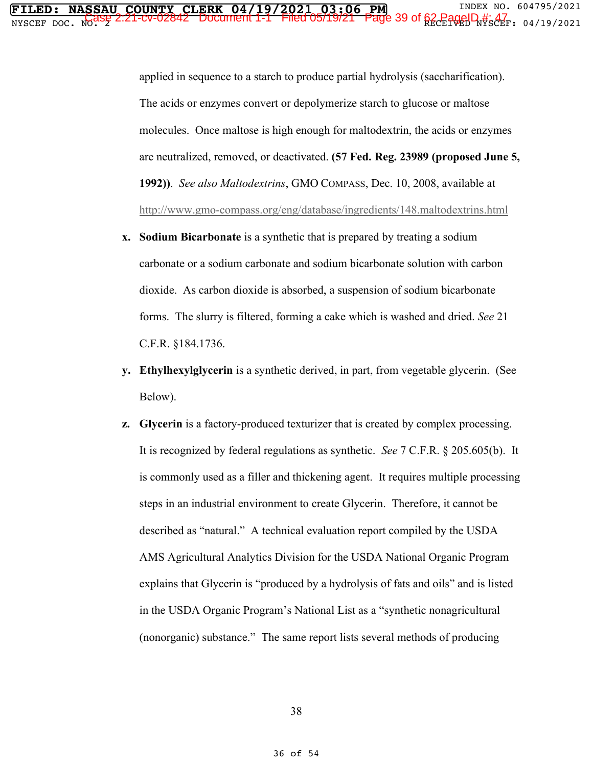applied in sequence to a starch to produce partial hydrolysis (saccharification). The acids or enzymes convert or depolymerize starch to glucose or maltose molecules. Once maltose is high enough for maltodextrin, the acids or enzymes are neutralized, removed, or deactivated. **(57 Fed. Reg. 23989 (proposed June 5, 1992))**. *See also Maltodextrins*, GMO COMPASS, Dec. 10, 2008, available at http://www.gmo-compass.org/eng/database/ingredients/148.maltodextrins.html

- **x. Sodium Bicarbonate** is a synthetic that is prepared by treating a sodium carbonate or a sodium carbonate and sodium bicarbonate solution with carbon dioxide. As carbon dioxide is absorbed, a suspension of sodium bicarbonate forms. The slurry is filtered, forming a cake which is washed and dried. *See* 21 C.F.R. §184.1736.
- **y. Ethylhexylglycerin** is a synthetic derived, in part, from vegetable glycerin. (See Below).
- **z. Glycerin** is a factory-produced texturizer that is created by complex processing. It is recognized by federal regulations as synthetic. *See* 7 C.F.R. § 205.605(b). It is commonly used as a filler and thickening agent. It requires multiple processing steps in an industrial environment to create Glycerin. Therefore, it cannot be described as "natural." A technical evaluation report compiled by the USDA AMS Agricultural Analytics Division for the USDA National Organic Program explains that Glycerin is "produced by a hydrolysis of fats and oils" and is listed in the USDA Organic Program's National List as a "synthetic nonagricultural (nonorganic) substance." The same report lists several methods of producing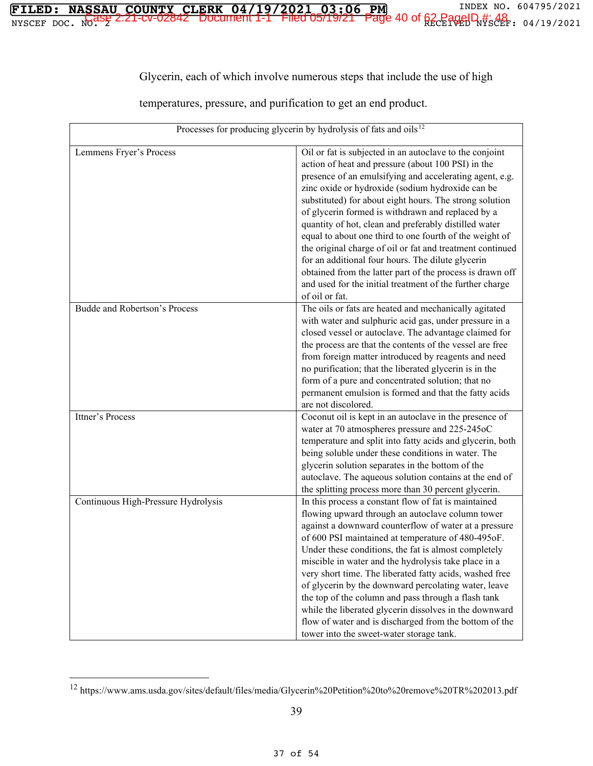## Glycerin, each of which involve numerous steps that include the use of high

**FILED: NASSAU COUNTY CLERK 04/19/2021 03:06 PM** INDEX NO. 604795/2021  $\frac{1}{2}$   $\frac{1}{2}$   $\frac{1}{2}$   $\frac{1}{2}$   $\frac{1}{2}$   $\frac{1}{2}$   $\frac{1}{2}$   $\frac{1}{2}$   $\frac{1}{2}$   $\frac{1}{2}$   $\frac{1}{2}$   $\frac{1}{2}$   $\frac{1}{2}$   $\frac{1}{2}$   $\frac{1}{2}$   $\frac{1}{2}$   $\frac{1}{2}$   $\frac{1}{2}$   $\frac{1}{2}$   $\frac{1}{2}$   $\frac{1}{2}$   $\frac{1}{2}$ 

temperatures, pressure, and purification to get an end product.

| Processes for producing glycerin by hydrolysis of fats and oils <sup>12</sup> |                                                                                                                                                                                                                                                                                                                                                                                                                                                                                                                                                                                                                                                                                                                               |
|-------------------------------------------------------------------------------|-------------------------------------------------------------------------------------------------------------------------------------------------------------------------------------------------------------------------------------------------------------------------------------------------------------------------------------------------------------------------------------------------------------------------------------------------------------------------------------------------------------------------------------------------------------------------------------------------------------------------------------------------------------------------------------------------------------------------------|
| Lemmens Fryer's Process                                                       | Oil or fat is subjected in an autoclave to the conjoint<br>action of heat and pressure (about 100 PSI) in the<br>presence of an emulsifying and accelerating agent, e.g.<br>zinc oxide or hydroxide (sodium hydroxide can be<br>substituted) for about eight hours. The strong solution<br>of glycerin formed is withdrawn and replaced by a<br>quantity of hot, clean and preferably distilled water<br>equal to about one third to one fourth of the weight of<br>the original charge of oil or fat and treatment continued<br>for an additional four hours. The dilute glycerin<br>obtained from the latter part of the process is drawn off<br>and used for the initial treatment of the further charge<br>of oil or fat. |
| Budde and Robertson's Process                                                 | The oils or fats are heated and mechanically agitated<br>with water and sulphuric acid gas, under pressure in a<br>closed vessel or autoclave. The advantage claimed for<br>the process are that the contents of the vessel are free<br>from foreign matter introduced by reagents and need<br>no purification; that the liberated glycerin is in the<br>form of a pure and concentrated solution; that no<br>permanent emulsion is formed and that the fatty acids<br>are not discolored.                                                                                                                                                                                                                                    |
| Ittner's Process                                                              | Coconut oil is kept in an autoclave in the presence of<br>water at 70 atmospheres pressure and 225-245oC<br>temperature and split into fatty acids and glycerin, both<br>being soluble under these conditions in water. The<br>glycerin solution separates in the bottom of the<br>autoclave. The aqueous solution contains at the end of<br>the splitting process more than 30 percent glycerin.                                                                                                                                                                                                                                                                                                                             |
| Continuous High-Pressure Hydrolysis                                           | In this process a constant flow of fat is maintained<br>flowing upward through an autoclave column tower<br>against a downward counterflow of water at a pressure<br>of 600 PSI maintained at temperature of 480-495oF.<br>Under these conditions, the fat is almost completely<br>miscible in water and the hydrolysis take place in a<br>very short time. The liberated fatty acids, washed free<br>of glycerin by the downward percolating water, leave<br>the top of the column and pass through a flash tank<br>while the liberated glycerin dissolves in the downward<br>flow of water and is discharged from the bottom of the<br>tower into the sweet-water storage tank.                                             |

<sup>12</sup> https://www.ams.usda.gov/sites/default/files/media/Glycerin%20Petition%20to%20remove%20TR%202013.pdf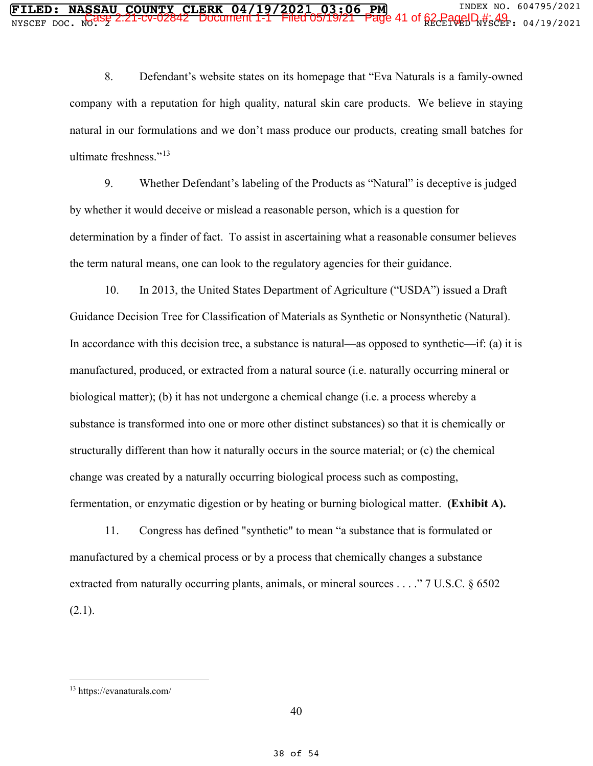8. Defendant's website states on its homepage that "Eva Naturals is a family-owned company with a reputation for high quality, natural skin care products. We believe in staying natural in our formulations and we don't mass produce our products, creating small batches for ultimate freshness." $^{13}$ 

9. Whether Defendant's labeling of the Products as "Natural" is deceptive is judged by whether it would deceive or mislead a reasonable person, which is a question for determination by a finder of fact. To assist in ascertaining what a reasonable consumer believes the term natural means, one can look to the regulatory agencies for their guidance.

10. In 2013, the United States Department of Agriculture ("USDA") issued a Draft Guidance Decision Tree for Classification of Materials as Synthetic or Nonsynthetic (Natural). In accordance with this decision tree, a substance is natural—as opposed to synthetic—if: (a) it is manufactured, produced, or extracted from a natural source (i.e. naturally occurring mineral or biological matter); (b) it has not undergone a chemical change (i.e. a process whereby a substance is transformed into one or more other distinct substances) so that it is chemically or structurally different than how it naturally occurs in the source material; or (c) the chemical change was created by a naturally occurring biological process such as composting, fermentation, or enzymatic digestion or by heating or burning biological matter. **(Exhibit A).**

11. Congress has defined "synthetic" to mean "a substance that is formulated or manufactured by a chemical process or by a process that chemically changes a substance extracted from naturally occurring plants, animals, or mineral sources . . . ." 7 U.S.C. § 6502  $(2.1).$ 

<sup>13</sup> https://evanaturals.com/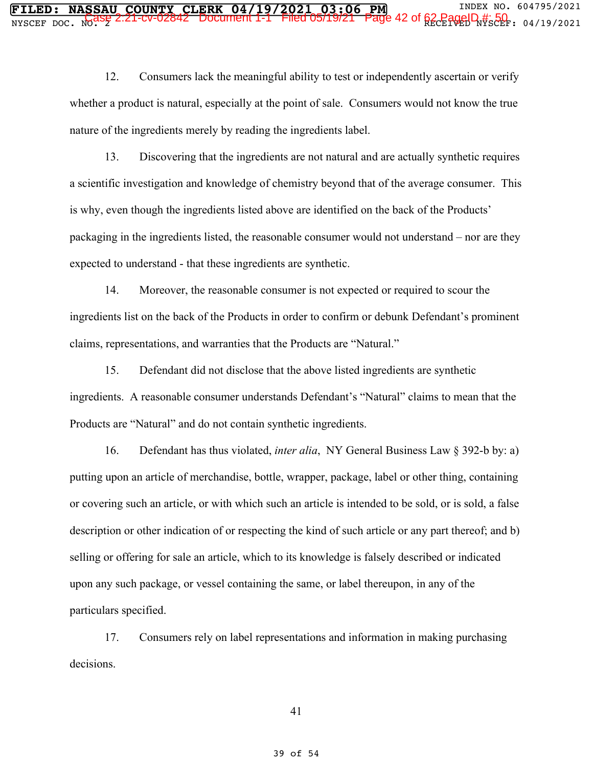12. Consumers lack the meaningful ability to test or independently ascertain or verify whether a product is natural, especially at the point of sale. Consumers would not know the true nature of the ingredients merely by reading the ingredients label.

13. Discovering that the ingredients are not natural and are actually synthetic requires a scientific investigation and knowledge of chemistry beyond that of the average consumer. This is why, even though the ingredients listed above are identified on the back of the Products' packaging in the ingredients listed, the reasonable consumer would not understand – nor are they expected to understand - that these ingredients are synthetic.

14. Moreover, the reasonable consumer is not expected or required to scour the ingredients list on the back of the Products in order to confirm or debunk Defendant's prominent claims, representations, and warranties that the Products are "Natural."

15. Defendant did not disclose that the above listed ingredients are synthetic ingredients. A reasonable consumer understands Defendant's "Natural" claims to mean that the Products are "Natural" and do not contain synthetic ingredients.

16. Defendant has thus violated, *inter alia*, NY General Business Law § 392-b by: a) putting upon an article of merchandise, bottle, wrapper, package, label or other thing, containing or covering such an article, or with which such an article is intended to be sold, or is sold, a false description or other indication of or respecting the kind of such article or any part thereof; and b) selling or offering for sale an article, which to its knowledge is falsely described or indicated upon any such package, or vessel containing the same, or label thereupon, in any of the particulars specified.

17. Consumers rely on label representations and information in making purchasing decisions.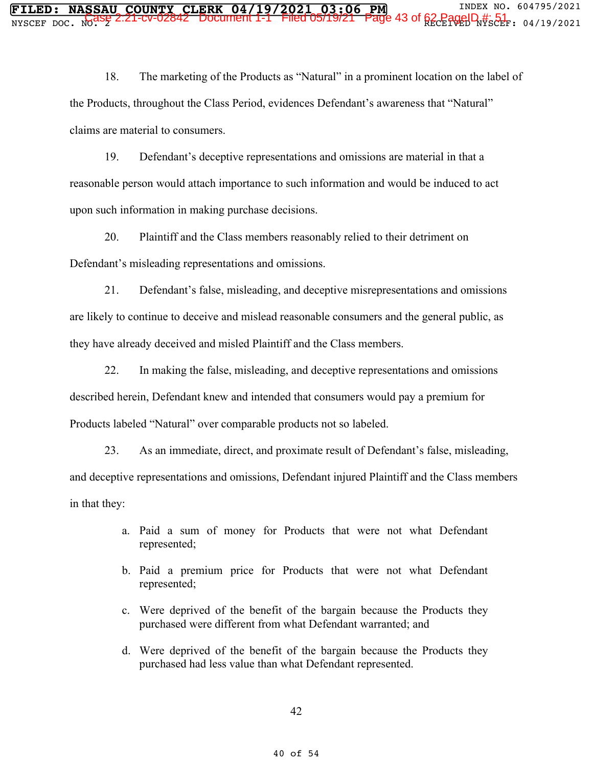18. The marketing of the Products as "Natural" in a prominent location on the label of the Products, throughout the Class Period, evidences Defendant's awareness that "Natural" claims are material to consumers.

19. Defendant's deceptive representations and omissions are material in that a reasonable person would attach importance to such information and would be induced to act upon such information in making purchase decisions.

20. Plaintiff and the Class members reasonably relied to their detriment on Defendant's misleading representations and omissions.

21. Defendant's false, misleading, and deceptive misrepresentations and omissions are likely to continue to deceive and mislead reasonable consumers and the general public, as they have already deceived and misled Plaintiff and the Class members.

22. In making the false, misleading, and deceptive representations and omissions described herein, Defendant knew and intended that consumers would pay a premium for Products labeled "Natural" over comparable products not so labeled.

23. As an immediate, direct, and proximate result of Defendant's false, misleading, and deceptive representations and omissions, Defendant injured Plaintiff and the Class members in that they:

- a. Paid a sum of money for Products that were not what Defendant represented;
- b. Paid a premium price for Products that were not what Defendant represented;
- c. Were deprived of the benefit of the bargain because the Products they purchased were different from what Defendant warranted; and
- d. Were deprived of the benefit of the bargain because the Products they purchased had less value than what Defendant represented.

42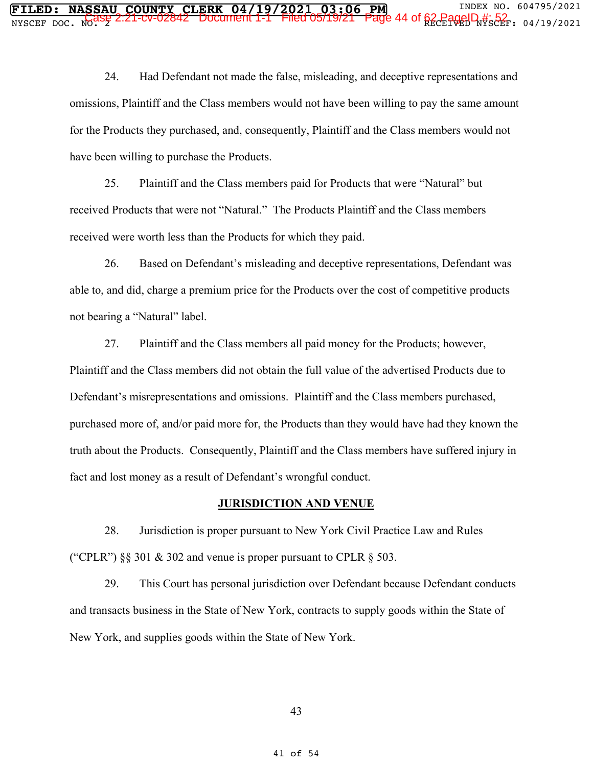24. Had Defendant not made the false, misleading, and deceptive representations and omissions, Plaintiff and the Class members would not have been willing to pay the same amount for the Products they purchased, and, consequently, Plaintiff and the Class members would not have been willing to purchase the Products.

25. Plaintiff and the Class members paid for Products that were "Natural" but received Products that were not "Natural." The Products Plaintiff and the Class members received were worth less than the Products for which they paid.

26. Based on Defendant's misleading and deceptive representations, Defendant was able to, and did, charge a premium price for the Products over the cost of competitive products not bearing a "Natural" label.

27. Plaintiff and the Class members all paid money for the Products; however, Plaintiff and the Class members did not obtain the full value of the advertised Products due to Defendant's misrepresentations and omissions. Plaintiff and the Class members purchased, purchased more of, and/or paid more for, the Products than they would have had they known the truth about the Products. Consequently, Plaintiff and the Class members have suffered injury in fact and lost money as a result of Defendant's wrongful conduct.

#### **JURISDICTION AND VENUE**

28. Jurisdiction is proper pursuant to New York Civil Practice Law and Rules ("CPLR")  $\S$ § 301 & 302 and venue is proper pursuant to CPLR § 503.

29. This Court has personal jurisdiction over Defendant because Defendant conducts and transacts business in the State of New York, contracts to supply goods within the State of New York, and supplies goods within the State of New York.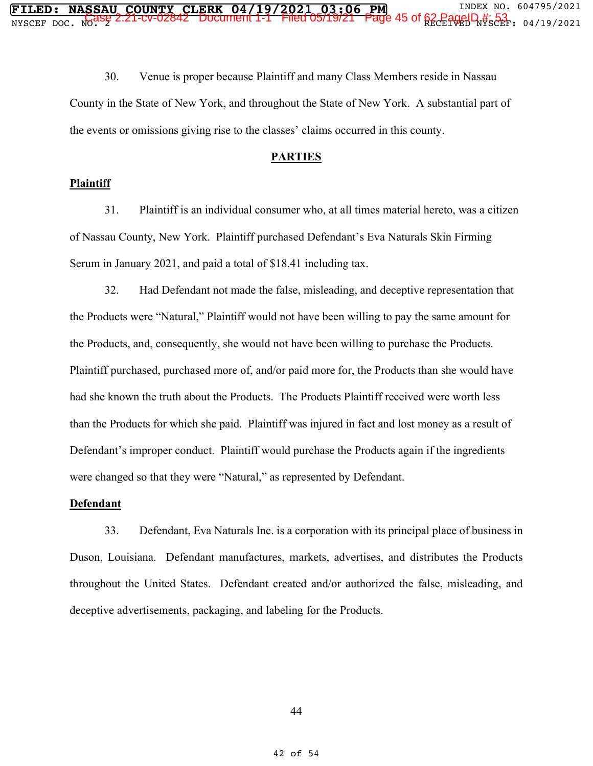30. Venue is proper because Plaintiff and many Class Members reside in Nassau County in the State of New York, and throughout the State of New York. A substantial part of the events or omissions giving rise to the classes' claims occurred in this county.

#### **PARTIES**

#### **Plaintiff**

31. Plaintiff is an individual consumer who, at all times material hereto, was a citizen of Nassau County, New York. Plaintiff purchased Defendant's Eva Naturals Skin Firming Serum in January 2021, and paid a total of \$18.41 including tax.

32. Had Defendant not made the false, misleading, and deceptive representation that the Products were "Natural," Plaintiff would not have been willing to pay the same amount for the Products, and, consequently, she would not have been willing to purchase the Products. Plaintiff purchased, purchased more of, and/or paid more for, the Products than she would have had she known the truth about the Products. The Products Plaintiff received were worth less than the Products for which she paid. Plaintiff was injured in fact and lost money as a result of Defendant's improper conduct. Plaintiff would purchase the Products again if the ingredients were changed so that they were "Natural," as represented by Defendant.

#### **Defendant**

33. Defendant, Eva Naturals Inc. is a corporation with its principal place of business in Duson, Louisiana. Defendant manufactures, markets, advertises, and distributes the Products throughout the United States. Defendant created and/or authorized the false, misleading, and deceptive advertisements, packaging, and labeling for the Products.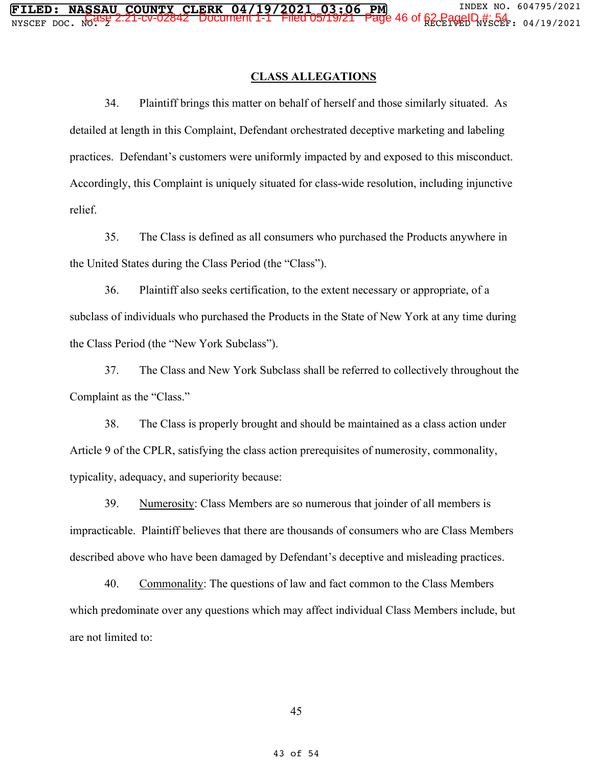#### **CLASS ALLEGATIONS**

34. Plaintiff brings this matter on behalf of herself and those similarly situated. As detailed at length in this Complaint, Defendant orchestrated deceptive marketing and labeling practices. Defendant's customers were uniformly impacted by and exposed to this misconduct. Accordingly, this Complaint is uniquely situated for class-wide resolution, including injunctive relief.

35. The Class is defined as all consumers who purchased the Products anywhere in the United States during the Class Period (the "Class").

36. Plaintiff also seeks certification, to the extent necessary or appropriate, of a subclass of individuals who purchased the Products in the State of New York at any time during the Class Period (the "New York Subclass").

37. The Class and New York Subclass shall be referred to collectively throughout the Complaint as the "Class."

38. The Class is properly brought and should be maintained as a class action under Article 9 of the CPLR, satisfying the class action prerequisites of numerosity, commonality, typicality, adequacy, and superiority because:

39. Numerosity: Class Members are so numerous that joinder of all members is impracticable. Plaintiff believes that there are thousands of consumers who are Class Members described above who have been damaged by Defendant's deceptive and misleading practices.

40. Commonality: The questions of law and fact common to the Class Members which predominate over any questions which may affect individual Class Members include, but are not limited to: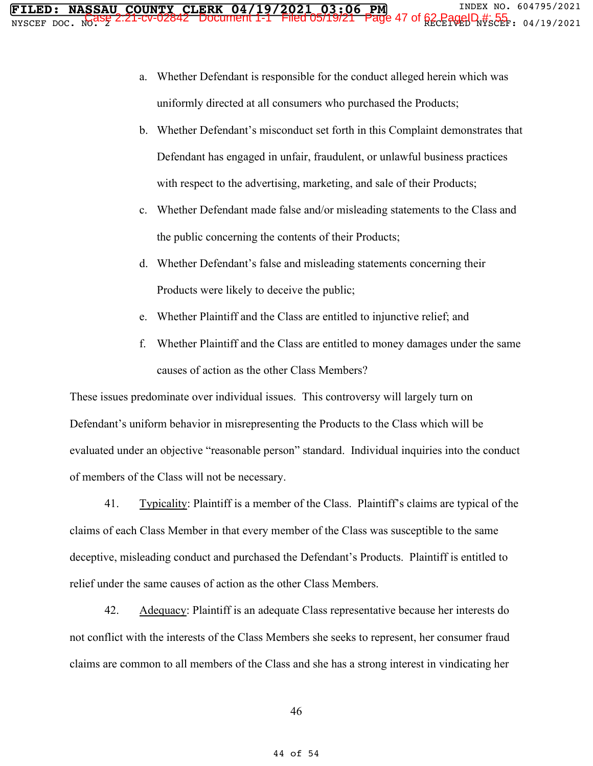- a. Whether Defendant is responsible for the conduct alleged herein which was uniformly directed at all consumers who purchased the Products;
- b. Whether Defendant's misconduct set forth in this Complaint demonstrates that Defendant has engaged in unfair, fraudulent, or unlawful business practices with respect to the advertising, marketing, and sale of their Products;
- c. Whether Defendant made false and/or misleading statements to the Class and the public concerning the contents of their Products;
- d. Whether Defendant's false and misleading statements concerning their Products were likely to deceive the public;
- e. Whether Plaintiff and the Class are entitled to injunctive relief; and
- f. Whether Plaintiff and the Class are entitled to money damages under the same causes of action as the other Class Members?

These issues predominate over individual issues. This controversy will largely turn on Defendant's uniform behavior in misrepresenting the Products to the Class which will be evaluated under an objective "reasonable person" standard. Individual inquiries into the conduct of members of the Class will not be necessary.

41. Typicality: Plaintiff is a member of the Class. Plaintiff's claims are typical of the claims of each Class Member in that every member of the Class was susceptible to the same deceptive, misleading conduct and purchased the Defendant's Products. Plaintiff is entitled to relief under the same causes of action as the other Class Members.

42. Adequacy: Plaintiff is an adequate Class representative because her interests do not conflict with the interests of the Class Members she seeks to represent, her consumer fraud claims are common to all members of the Class and she has a strong interest in vindicating her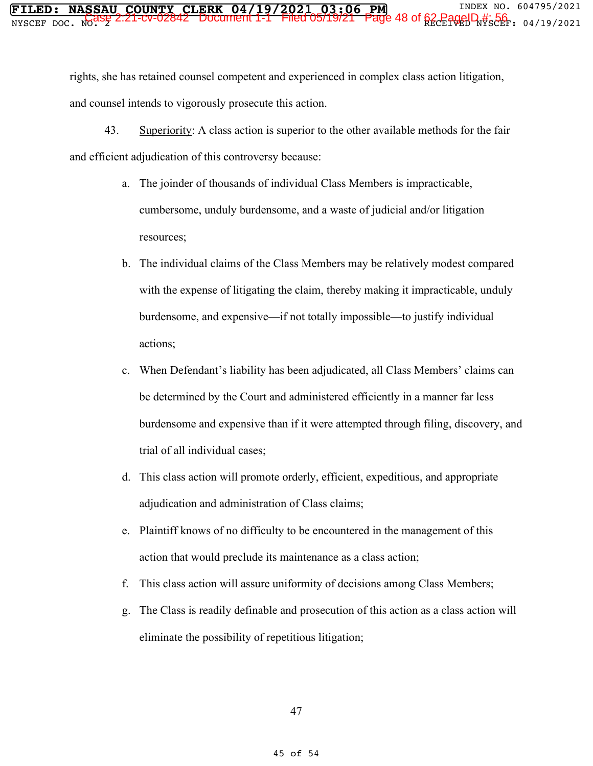rights, she has retained counsel competent and experienced in complex class action litigation, and counsel intends to vigorously prosecute this action.

- 43. Superiority: A class action is superior to the other available methods for the fair and efficient adjudication of this controversy because:
	- a. The joinder of thousands of individual Class Members is impracticable, cumbersome, unduly burdensome, and a waste of judicial and/or litigation resources;
	- b. The individual claims of the Class Members may be relatively modest compared with the expense of litigating the claim, thereby making it impracticable, unduly burdensome, and expensive—if not totally impossible—to justify individual actions;
	- c. When Defendant's liability has been adjudicated, all Class Members' claims can be determined by the Court and administered efficiently in a manner far less burdensome and expensive than if it were attempted through filing, discovery, and trial of all individual cases;
	- d. This class action will promote orderly, efficient, expeditious, and appropriate adjudication and administration of Class claims;
	- e. Plaintiff knows of no difficulty to be encountered in the management of this action that would preclude its maintenance as a class action;
	- f. This class action will assure uniformity of decisions among Class Members;
	- g. The Class is readily definable and prosecution of this action as a class action will eliminate the possibility of repetitious litigation;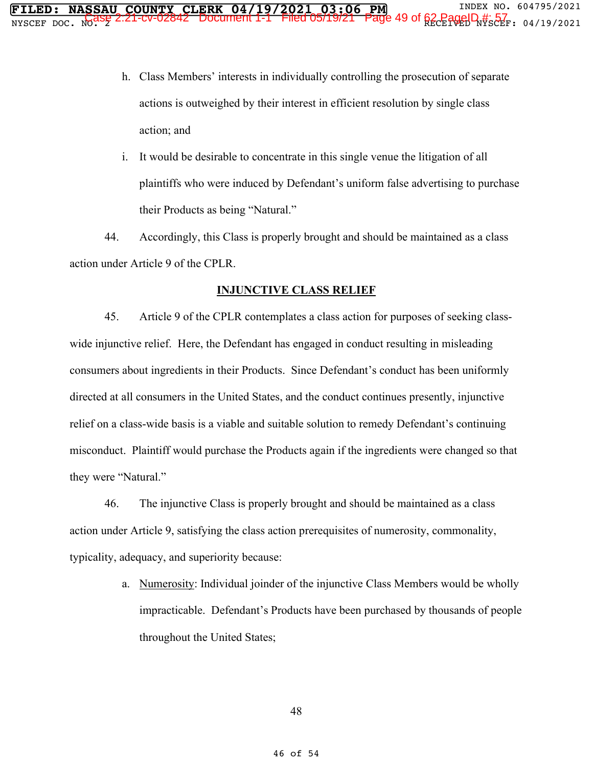- h. Class Members' interests in individually controlling the prosecution of separate actions is outweighed by their interest in efficient resolution by single class action; and
- i. It would be desirable to concentrate in this single venue the litigation of all plaintiffs who were induced by Defendant's uniform false advertising to purchase their Products as being "Natural."

44. Accordingly, this Class is properly brought and should be maintained as a class action under Article 9 of the CPLR.

#### **INJUNCTIVE CLASS RELIEF**

45. Article 9 of the CPLR contemplates a class action for purposes of seeking classwide injunctive relief. Here, the Defendant has engaged in conduct resulting in misleading consumers about ingredients in their Products. Since Defendant's conduct has been uniformly directed at all consumers in the United States, and the conduct continues presently, injunctive relief on a class-wide basis is a viable and suitable solution to remedy Defendant's continuing misconduct. Plaintiff would purchase the Products again if the ingredients were changed so that they were "Natural."

46. The injunctive Class is properly brought and should be maintained as a class action under Article 9, satisfying the class action prerequisites of numerosity, commonality, typicality, adequacy, and superiority because:

> a. Numerosity: Individual joinder of the injunctive Class Members would be wholly impracticable. Defendant's Products have been purchased by thousands of people throughout the United States;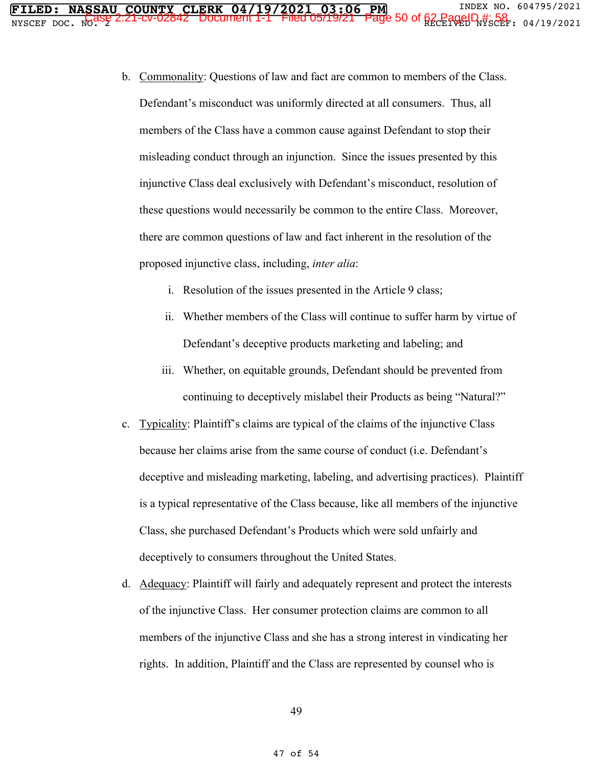- b. Commonality: Questions of law and fact are common to members of the Class. Defendant's misconduct was uniformly directed at all consumers. Thus, all members of the Class have a common cause against Defendant to stop their misleading conduct through an injunction. Since the issues presented by this injunctive Class deal exclusively with Defendant's misconduct, resolution of these questions would necessarily be common to the entire Class. Moreover, there are common questions of law and fact inherent in the resolution of the proposed injunctive class, including, *inter alia*:
	- i. Resolution of the issues presented in the Article 9 class;
	- ii. Whether members of the Class will continue to suffer harm by virtue of Defendant's deceptive products marketing and labeling; and
	- iii. Whether, on equitable grounds, Defendant should be prevented from continuing to deceptively mislabel their Products as being "Natural?"
- c. Typicality: Plaintiff's claims are typical of the claims of the injunctive Class because her claims arise from the same course of conduct (i.e. Defendant's deceptive and misleading marketing, labeling, and advertising practices). Plaintiff is a typical representative of the Class because, like all members of the injunctive Class, she purchased Defendant's Products which were sold unfairly and deceptively to consumers throughout the United States.
- d. Adequacy: Plaintiff will fairly and adequately represent and protect the interests of the injunctive Class. Her consumer protection claims are common to all members of the injunctive Class and she has a strong interest in vindicating her rights. In addition, Plaintiff and the Class are represented by counsel who is

49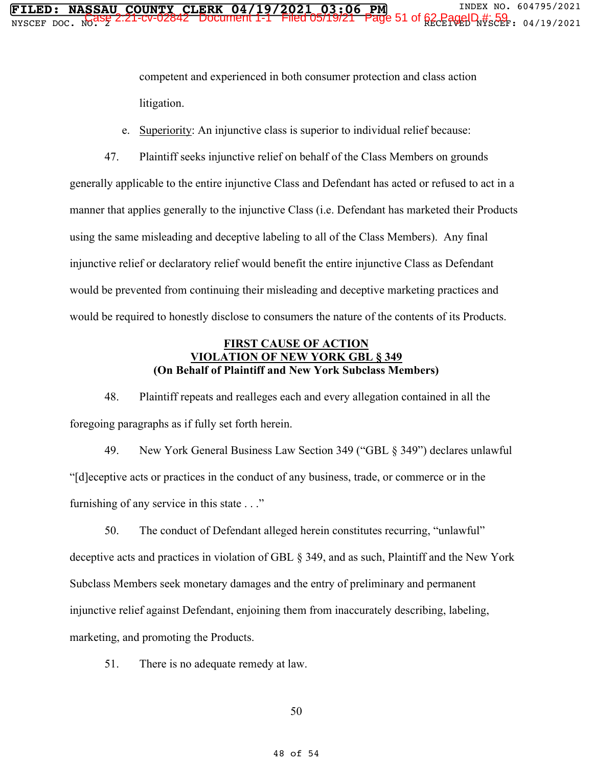competent and experienced in both consumer protection and class action litigation.

e. Superiority: An injunctive class is superior to individual relief because:

47. Plaintiff seeks injunctive relief on behalf of the Class Members on grounds generally applicable to the entire injunctive Class and Defendant has acted or refused to act in a manner that applies generally to the injunctive Class (i.e. Defendant has marketed their Products using the same misleading and deceptive labeling to all of the Class Members). Any final injunctive relief or declaratory relief would benefit the entire injunctive Class as Defendant would be prevented from continuing their misleading and deceptive marketing practices and would be required to honestly disclose to consumers the nature of the contents of its Products.

#### **FIRST CAUSE OF ACTION VIOLATION OF NEW YORK GBL § 349 (On Behalf of Plaintiff and New York Subclass Members)**

48. Plaintiff repeats and realleges each and every allegation contained in all the foregoing paragraphs as if fully set forth herein.

49. New York General Business Law Section 349 ("GBL § 349") declares unlawful "[d]eceptive acts or practices in the conduct of any business, trade, or commerce or in the furnishing of any service in this state . . ."

50. The conduct of Defendant alleged herein constitutes recurring, "unlawful" deceptive acts and practices in violation of GBL § 349, and as such, Plaintiff and the New York Subclass Members seek monetary damages and the entry of preliminary and permanent injunctive relief against Defendant, enjoining them from inaccurately describing, labeling, marketing, and promoting the Products.

51. There is no adequate remedy at law.

50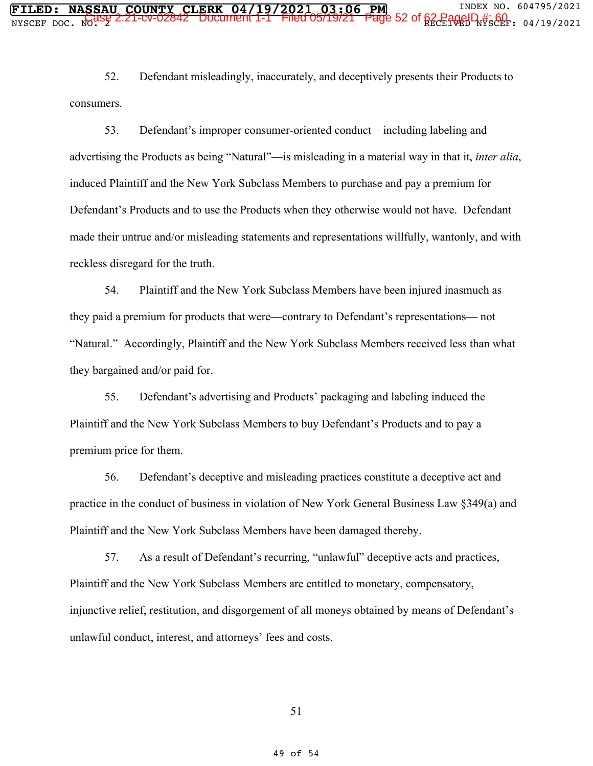52. Defendant misleadingly, inaccurately, and deceptively presents their Products to consumers.

53. Defendant's improper consumer-oriented conduct—including labeling and advertising the Products as being "Natural"—is misleading in a material way in that it, *inter alia*, induced Plaintiff and the New York Subclass Members to purchase and pay a premium for Defendant's Products and to use the Products when they otherwise would not have. Defendant made their untrue and/or misleading statements and representations willfully, wantonly, and with reckless disregard for the truth.

54. Plaintiff and the New York Subclass Members have been injured inasmuch as they paid a premium for products that were—contrary to Defendant's representations— not "Natural." Accordingly, Plaintiff and the New York Subclass Members received less than what they bargained and/or paid for.

55. Defendant's advertising and Products' packaging and labeling induced the Plaintiff and the New York Subclass Members to buy Defendant's Products and to pay a premium price for them.

56. Defendant's deceptive and misleading practices constitute a deceptive act and practice in the conduct of business in violation of New York General Business Law §349(a) and Plaintiff and the New York Subclass Members have been damaged thereby.

57. As a result of Defendant's recurring, "unlawful" deceptive acts and practices, Plaintiff and the New York Subclass Members are entitled to monetary, compensatory, injunctive relief, restitution, and disgorgement of all moneys obtained by means of Defendant's unlawful conduct, interest, and attorneys' fees and costs.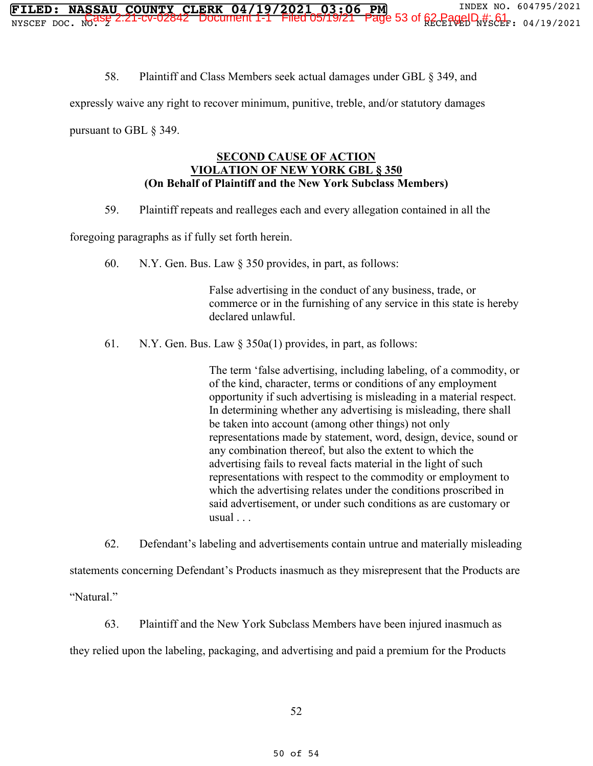58. Plaintiff and Class Members seek actual damages under GBL § 349, and

expressly waive any right to recover minimum, punitive, treble, and/or statutory damages

pursuant to GBL § 349.

#### **SECOND CAUSE OF ACTION VIOLATION OF NEW YORK GBL § 350 (On Behalf of Plaintiff and the New York Subclass Members)**

59. Plaintiff repeats and realleges each and every allegation contained in all the

foregoing paragraphs as if fully set forth herein.

60. N.Y. Gen. Bus. Law § 350 provides, in part, as follows:

False advertising in the conduct of any business, trade, or commerce or in the furnishing of any service in this state is hereby declared unlawful.

61. N.Y. Gen. Bus. Law § 350a(1) provides, in part, as follows:

The term 'false advertising, including labeling, of a commodity, or of the kind, character, terms or conditions of any employment opportunity if such advertising is misleading in a material respect. In determining whether any advertising is misleading, there shall be taken into account (among other things) not only representations made by statement, word, design, device, sound or any combination thereof, but also the extent to which the advertising fails to reveal facts material in the light of such representations with respect to the commodity or employment to which the advertising relates under the conditions proscribed in said advertisement, or under such conditions as are customary or usual . . .

62. Defendant's labeling and advertisements contain untrue and materially misleading statements concerning Defendant's Products inasmuch as they misrepresent that the Products are "Natural."

63. Plaintiff and the New York Subclass Members have been injured inasmuch as they relied upon the labeling, packaging, and advertising and paid a premium for the Products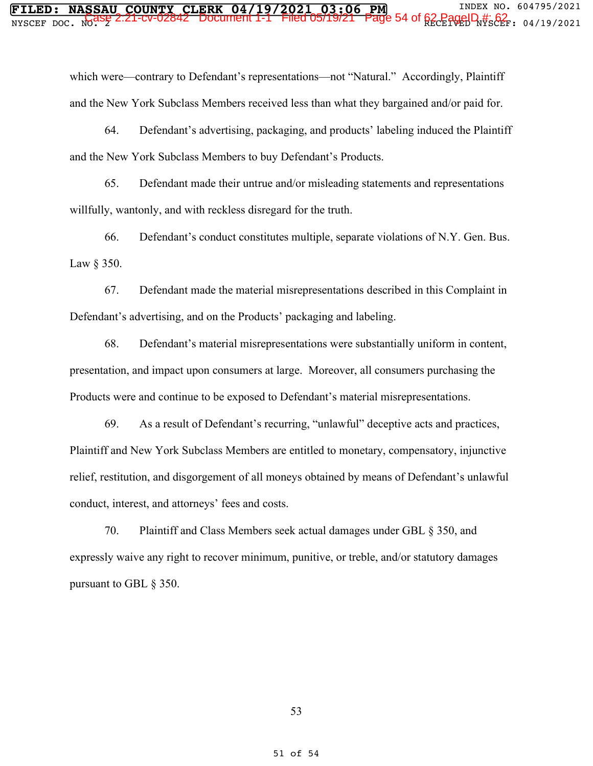which were—contrary to Defendant's representations—not "Natural." Accordingly, Plaintiff and the New York Subclass Members received less than what they bargained and/or paid for.

64. Defendant's advertising, packaging, and products' labeling induced the Plaintiff and the New York Subclass Members to buy Defendant's Products.

65. Defendant made their untrue and/or misleading statements and representations willfully, wantonly, and with reckless disregard for the truth.

66. Defendant's conduct constitutes multiple, separate violations of N.Y. Gen. Bus. Law § 350.

67. Defendant made the material misrepresentations described in this Complaint in Defendant's advertising, and on the Products' packaging and labeling.

68. Defendant's material misrepresentations were substantially uniform in content, presentation, and impact upon consumers at large. Moreover, all consumers purchasing the Products were and continue to be exposed to Defendant's material misrepresentations.

69. As a result of Defendant's recurring, "unlawful" deceptive acts and practices, Plaintiff and New York Subclass Members are entitled to monetary, compensatory, injunctive relief, restitution, and disgorgement of all moneys obtained by means of Defendant's unlawful conduct, interest, and attorneys' fees and costs.

70. Plaintiff and Class Members seek actual damages under GBL § 350, and expressly waive any right to recover minimum, punitive, or treble, and/or statutory damages pursuant to GBL § 350.

53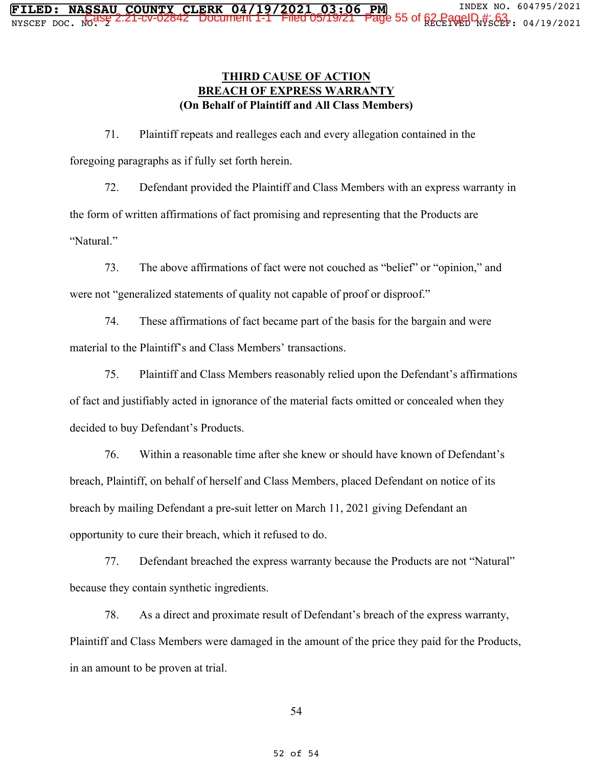**FILED: NASSAU COUNTY CLERK 04/19/2021 03:06 PM** INDEX NO. 604795/2021  $\frac{1}{2}$   $\frac{1}{2}$   $\frac{1}{2}$   $\frac{1}{2}$   $\frac{1}{2}$   $\frac{1}{2}$   $\frac{1}{2}$   $\frac{1}{2}$   $\frac{1}{2}$   $\frac{1}{2}$   $\frac{1}{2}$   $\frac{1}{2}$   $\frac{1}{2}$   $\frac{1}{2}$   $\frac{1}{2}$   $\frac{1}{2}$   $\frac{1}{2}$   $\frac{1}{2}$   $\frac{1}{2}$   $\frac{1}{2}$   $\frac{1}{2}$   $\frac{1}{2}$ 

> 71. Plaintiff repeats and realleges each and every allegation contained in the foregoing paragraphs as if fully set forth herein.

72. Defendant provided the Plaintiff and Class Members with an express warranty in the form of written affirmations of fact promising and representing that the Products are "Natural."

73. The above affirmations of fact were not couched as "belief" or "opinion," and were not "generalized statements of quality not capable of proof or disproof."

74. These affirmations of fact became part of the basis for the bargain and were material to the Plaintiff's and Class Members' transactions.

75. Plaintiff and Class Members reasonably relied upon the Defendant's affirmations of fact and justifiably acted in ignorance of the material facts omitted or concealed when they decided to buy Defendant's Products.

76. Within a reasonable time after she knew or should have known of Defendant's breach, Plaintiff, on behalf of herself and Class Members, placed Defendant on notice of its breach by mailing Defendant a pre-suit letter on March 11, 2021 giving Defendant an opportunity to cure their breach, which it refused to do.

77. Defendant breached the express warranty because the Products are not "Natural" because they contain synthetic ingredients.

78. As a direct and proximate result of Defendant's breach of the express warranty, Plaintiff and Class Members were damaged in the amount of the price they paid for the Products, in an amount to be proven at trial.

54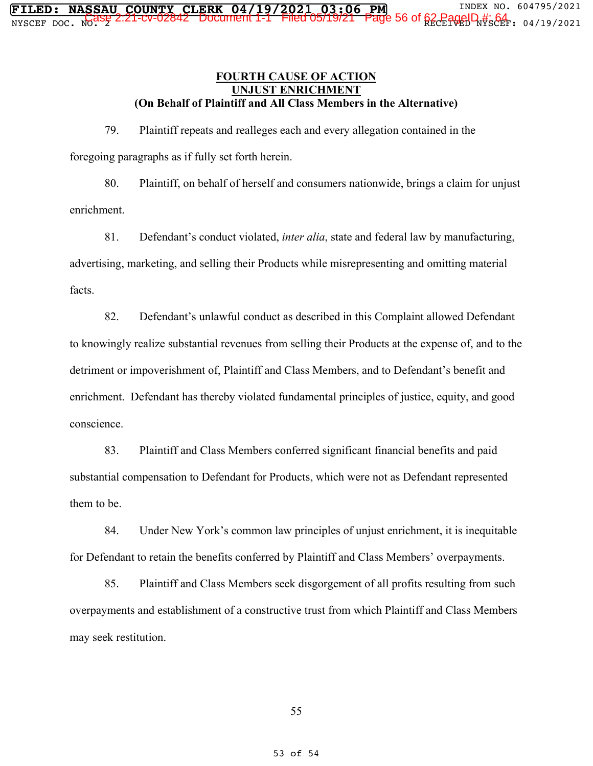#### **FOURTH CAUSE OF ACTION UNJUST ENRICHMENT (On Behalf of Plaintiff and All Class Members in the Alternative)**

79. Plaintiff repeats and realleges each and every allegation contained in the foregoing paragraphs as if fully set forth herein.

80. Plaintiff, on behalf of herself and consumers nationwide, brings a claim for unjust enrichment.

81. Defendant's conduct violated, *inter alia*, state and federal law by manufacturing, advertising, marketing, and selling their Products while misrepresenting and omitting material facts.

82. Defendant's unlawful conduct as described in this Complaint allowed Defendant to knowingly realize substantial revenues from selling their Products at the expense of, and to the detriment or impoverishment of, Plaintiff and Class Members, and to Defendant's benefit and enrichment. Defendant has thereby violated fundamental principles of justice, equity, and good conscience.

83. Plaintiff and Class Members conferred significant financial benefits and paid substantial compensation to Defendant for Products, which were not as Defendant represented them to be.

84. Under New York's common law principles of unjust enrichment, it is inequitable for Defendant to retain the benefits conferred by Plaintiff and Class Members' overpayments.

85. Plaintiff and Class Members seek disgorgement of all profits resulting from such overpayments and establishment of a constructive trust from which Plaintiff and Class Members may seek restitution.